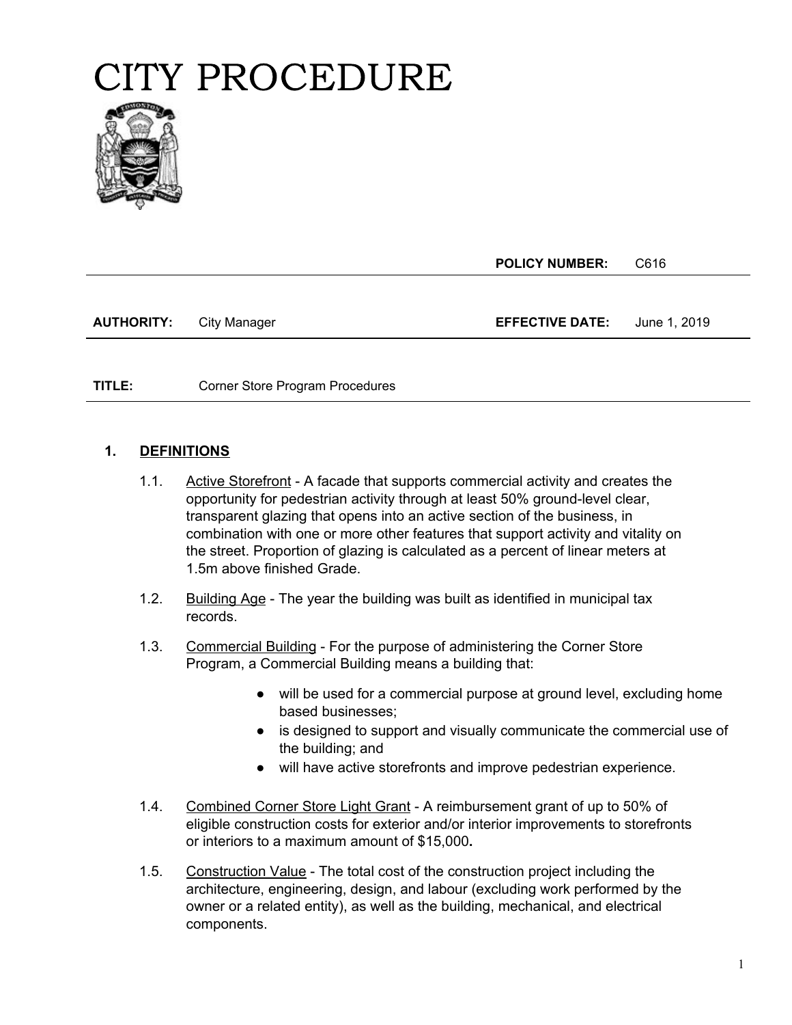

**POLICY NUMBER:** C616

**AUTHORITY:** City Manager **EFFECTIVE DATE:** June 1, 2019

**TITLE:** Corner Store Program Procedures

#### **PAGE: 1. DEFINITIONS**

- 1.1. Active Storefront A facade that supports commercial activity and creates the opportunity for pedestrian activity through at least 50% ground-level clear, transparent glazing that opens into an active section of the business, in combination with one or more other features that support activity and vitality on the street. Proportion of glazing is calculated as a percent of linear meters at 1.5m above finished Grade.
- 1.2. Building Age The year the building was built as identified in municipal tax records.
- 1.3. Commercial Building For the purpose of administering the Corner Store Program, a Commercial Building means a building that:
	- will be used for a commercial purpose at ground level, excluding home based businesses;
	- is designed to support and visually communicate the commercial use of the building; and
	- will have active storefronts and improve pedestrian experience.
- 1.4. Combined Corner Store Light Grant A reimbursement grant of up to 50% of eligible construction costs for exterior and/or interior improvements to storefronts or interiors to a maximum amount of \$15,000**.**
- 1.5. Construction Value The total cost of the construction project including the architecture, engineering, design, and labour (excluding work performed by the owner or a related entity), as well as the building, mechanical, and electrical components.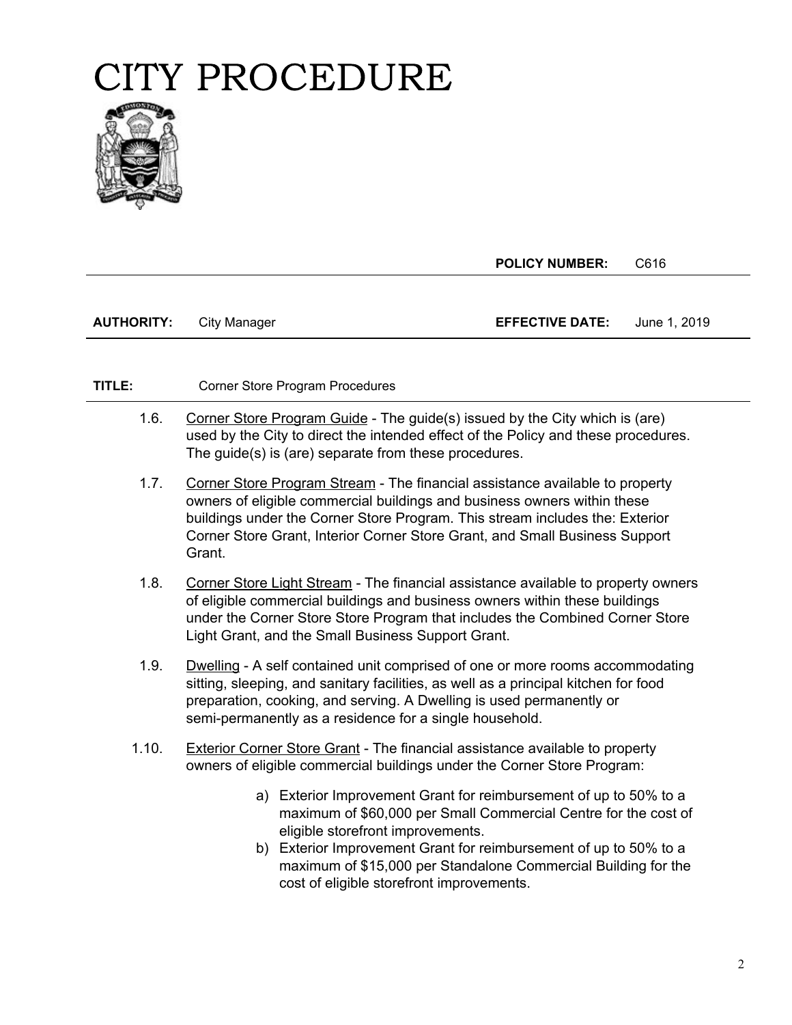

**POLICY NUMBER:** C616

| <b>AUTHORITY:</b> | City Manager | <b>EFFECTIVE DATE:</b> | June 1, 2019 |
|-------------------|--------------|------------------------|--------------|
|                   |              |                        |              |

- 1.6. Corner Store Program Guide The guide(s) issued by the City which is (are) used by the City to direct the intended effect of the Policy and these procedures. The guide(s) is (are) separate from these procedures.
- 1.7. Corner Store Program Stream The financial assistance available to property owners of eligible commercial buildings and business owners within these buildings under the Corner Store Program. This stream includes the: Exterior Corner Store Grant, Interior Corner Store Grant, and Small Business Support Grant.
- 1.8. Corner Store Light Stream The financial assistance available to property owners of eligible commercial buildings and business owners within these buildings under the Corner Store Store Program that includes the Combined Corner Store Light Grant, and the Small Business Support Grant.
- 1.9. Dwelling A self contained unit comprised of one or more rooms accommodating sitting, sleeping, and sanitary facilities, as well as a principal kitchen for food preparation, cooking, and serving. A Dwelling is used permanently or semi-permanently as a residence for a single household.
- 1.10. Exterior Corner Store Grant The financial assistance available to property owners of eligible commercial buildings under the Corner Store Program:
	- a) Exterior Improvement Grant for reimbursement of up to 50% to a maximum of \$60,000 per Small Commercial Centre for the cost of eligible storefront improvements.
	- b) Exterior Improvement Grant for reimbursement of up to 50% to a maximum of \$15,000 per Standalone Commercial Building for the cost of eligible storefront improvements.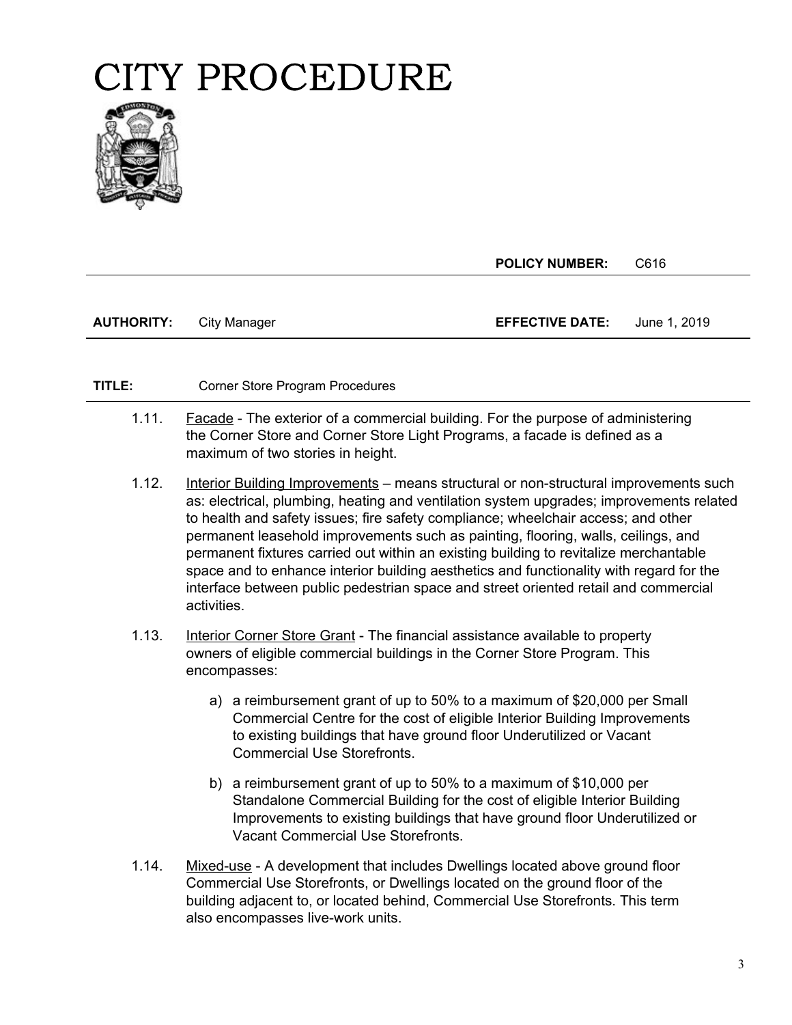

**POLICY NUMBER:** C616

**AUTHORITY:** City Manager **EFFECTIVE DATE:** June 1, 2019

- 1.11. **Facade** The exterior of a commercial building. For the purpose of administering the Corner Store and Corner Store Light Programs, a facade is defined as a maximum of two stories in height.
- 1.12. Interior Building Improvements means structural or non-structural improvements such as: electrical, plumbing, heating and ventilation system upgrades; improvements related to health and safety issues; fire safety compliance; wheelchair access; and other permanent leasehold improvements such as painting, flooring, walls, ceilings, and permanent fixtures carried out within an existing building to revitalize merchantable space and to enhance interior building aesthetics and functionality with regard for the interface between public pedestrian space and street oriented retail and commercial activities.
- 1.13. Interior Corner Store Grant The financial assistance available to property owners of eligible commercial buildings in the Corner Store Program. This encompasses:
	- a) a reimbursement grant of up to 50% to a maximum of \$20,000 per Small Commercial Centre for the cost of eligible Interior Building Improvements to existing buildings that have ground floor Underutilized or Vacant Commercial Use Storefronts.
	- b) a reimbursement grant of up to 50% to a maximum of \$10,000 per Standalone Commercial Building for the cost of eligible Interior Building Improvements to existing buildings that have ground floor Underutilized or Vacant Commercial Use Storefronts.
- 1.14. Mixed-use A development that includes Dwellings located above ground floor Commercial Use Storefronts, or Dwellings located on the ground floor of the building adjacent to, or located behind, Commercial Use Storefronts. This term also encompasses live-work units.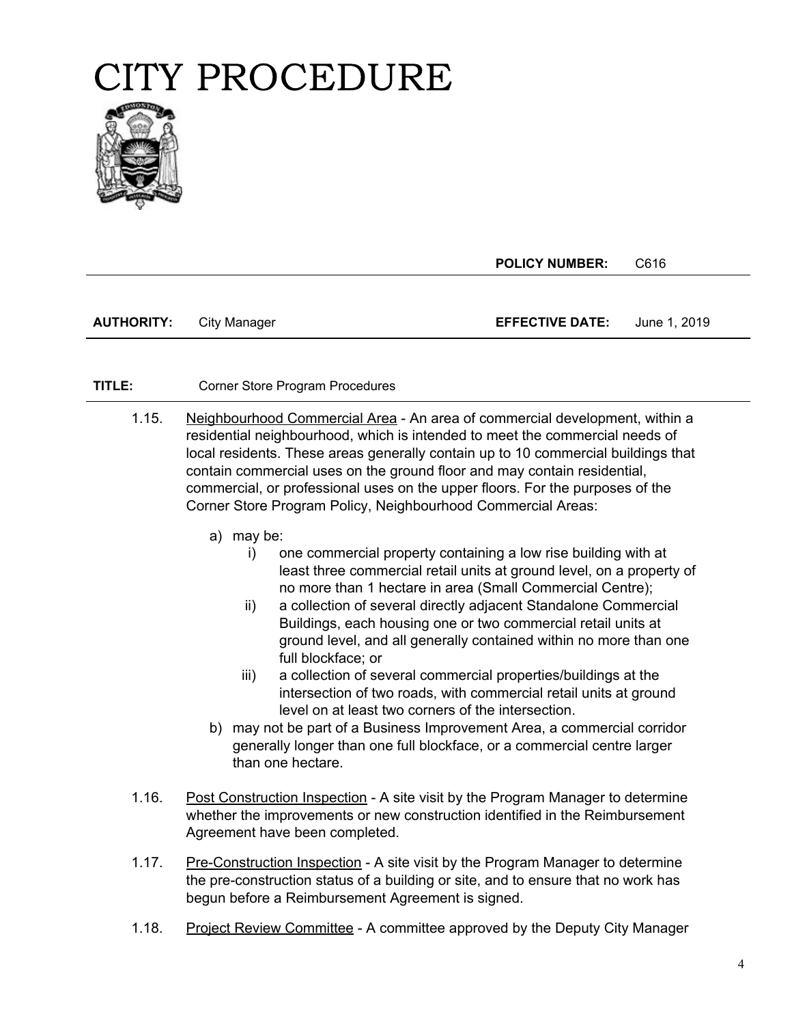

**POLICY NUMBER:** C616

| <b>AUTHORITY:</b> | City Manager | <b>EFFECTIVE DATE:</b> | June 1, 2019 |
|-------------------|--------------|------------------------|--------------|
|-------------------|--------------|------------------------|--------------|

- local residents. These areas generally contain up to 10 commercial buildings that 1.15. Neighbourhood Commercial Area - An area of commercial development, within a residential neighbourhood, which is intended to meet the commercial needs of contain commercial uses on the ground floor and may contain residential, commercial, or professional uses on the upper floors. For the purposes of the Corner Store Program Policy, Neighbourhood Commercial Areas:
	- a) may be:
		- i) one commercial property containing a low rise building with at least three commercial retail units at ground level, on a property of no more than 1 hectare in area (Small Commercial Centre);
		- ii) a collection of several directly adjacent Standalone Commercial Buildings, each housing one or two commercial retail units at ground level, and all generally contained within no more than one full blockface; or
		- iii) a collection of several commercial properties/buildings at the intersection of two roads, with commercial retail units at ground level on at least two corners of the intersection.
	- b) may not be part of a Business Improvement Area, a commercial corridor generally longer than one full blockface, or a commercial centre larger than one hectare.
- 1.16. Post Construction Inspection A site visit by the Program Manager to determine whether the improvements or new construction identified in the Reimbursement Agreement have been completed.
- 1.17. Pre-Construction Inspection A site visit by the Program Manager to determine the pre-construction status of a building or site, and to ensure that no work has begun before a Reimbursement Agreement is signed.
- 1.18. Project Review Committee A committee approved by the Deputy City Manager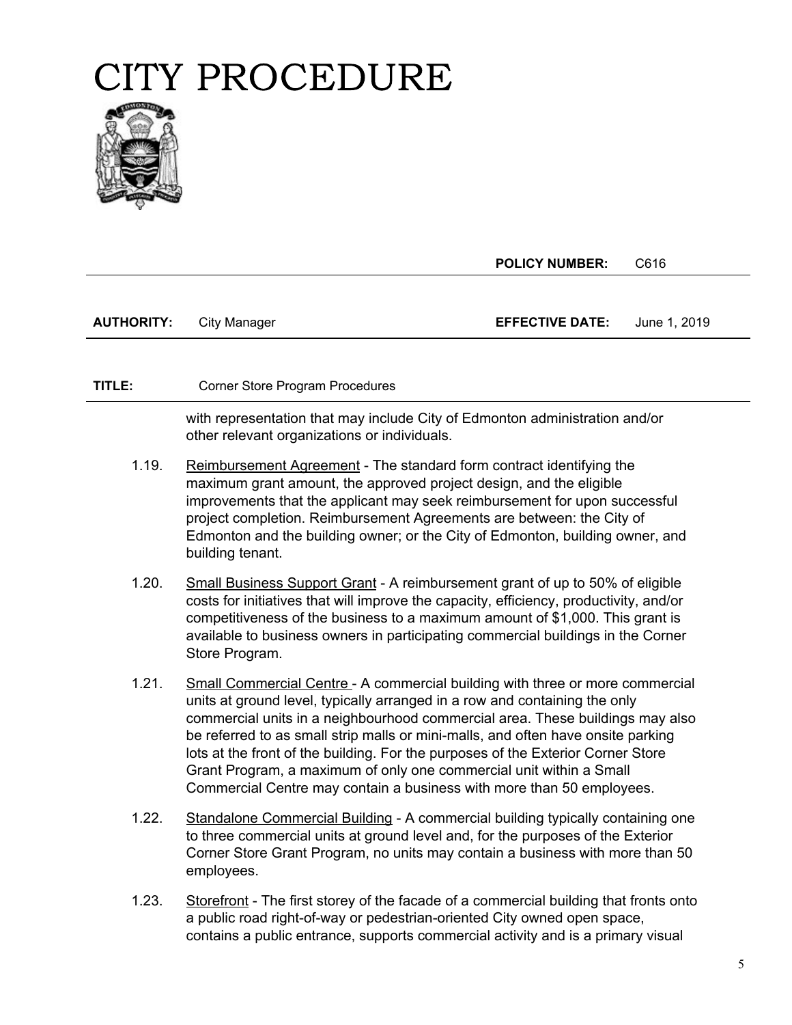

**POLICY NUMBER:** C616

| <b>EFFECTIVE DATE:</b><br><b>AUTHORITY:</b><br>City Manager | June 1. 2019 |
|-------------------------------------------------------------|--------------|
|-------------------------------------------------------------|--------------|

#### **TITLE:** Corner Store Program Procedures

with representation that may include City of Edmonton administration and/or other relevant organizations or individuals.

- 1.19. Reimbursement Agreement The standard form contract identifying the maximum grant amount, the approved project design, and the eligible improvements that the applicant may seek reimbursement for upon successful project completion. Reimbursement Agreements are between: the City of Edmonton and the building owner; or the City of Edmonton, building owner, and building tenant.
- 1.20. Small Business Support Grant A reimbursement grant of up to 50% of eligible costs for initiatives that will improve the capacity, efficiency, productivity, and/or competitiveness of the business to a maximum amount of \$1,000. This grant is available to business owners in participating commercial buildings in the Corner Store Program.
- 1.21. Small Commercial Centre A commercial building with three or more commercial units at ground level, typically arranged in a row and containing the only commercial units in a neighbourhood commercial area. These buildings may also be referred to as small strip malls or mini-malls, and often have onsite parking lots at the front of the building. For the purposes of the Exterior Corner Store Grant Program, a maximum of only one commercial unit within a Small Commercial Centre may contain a business with more than 50 employees.
- 1.22. Standalone Commercial Building A commercial building typically containing one to three commercial units at ground level and, for the purposes of the Exterior Corner Store Grant Program, no units may contain a business with more than 50 employees.
- 1.23. Storefront The first storey of the facade of a commercial building that fronts onto a public road right-of-way or pedestrian-oriented City owned open space, contains a public entrance, supports commercial activity and is a primary visual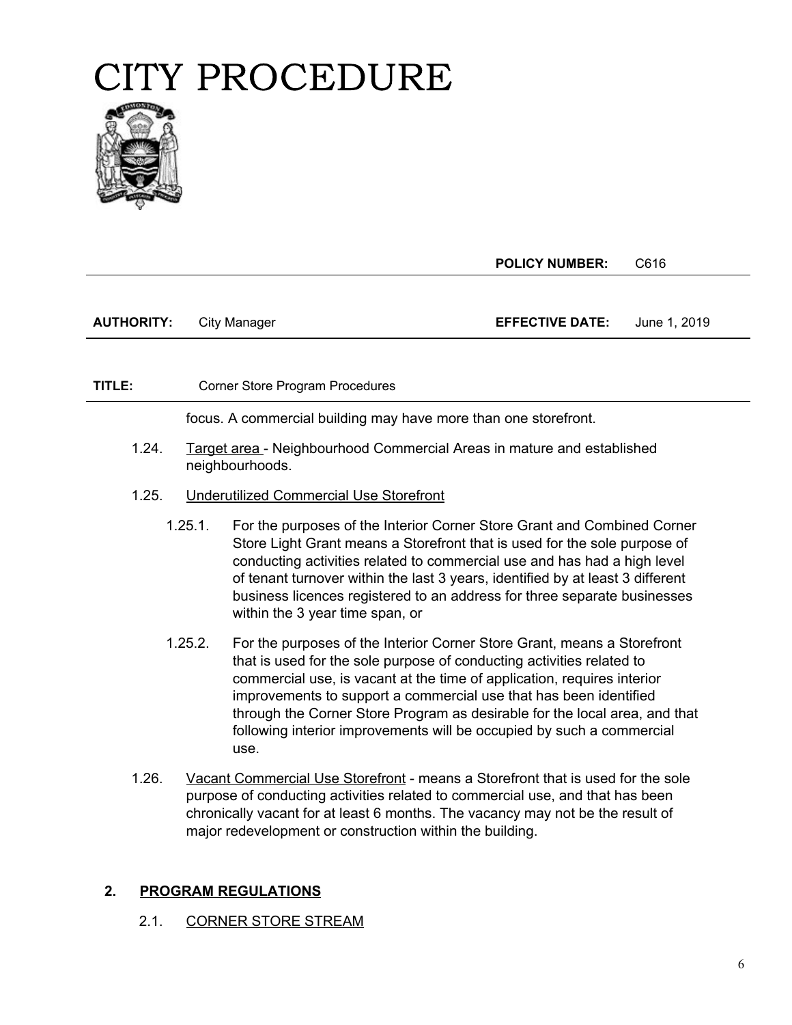

**POLICY NUMBER:** C616

| <b>AUTHORITY:</b> | City Manager | <b>EFFECTIVE DATE:</b> | June 1, 2019 |
|-------------------|--------------|------------------------|--------------|
|                   |              |                        |              |

#### **TITLE:** Corner Store Program Procedures

focus. A commercial building may have more than one storefront.

- 1.24. Target area Neighbourhood Commercial Areas in mature and established neighbourhoods.
- 1.25. Underutilized Commercial Use Storefront
	- 1.25.1. For the purposes of the Interior Corner Store Grant and Combined Corner Store Light Grant means a Storefront that is used for the sole purpose of conducting activities related to commercial use and has had a high level of tenant turnover within the last 3 years, identified by at least 3 different business licences registered to an address for three separate businesses within the 3 year time span, or
	- 1.25.2. For the purposes of the Interior Corner Store Grant, means a Storefront that is used for the sole purpose of conducting activities related to commercial use, is vacant at the time of application, requires interior improvements to support a commercial use that has been identified through the Corner Store Program as desirable for the local area, and that following interior improvements will be occupied by such a commercial use.
- 1.26. Vacant Commercial Use Storefront means a Storefront that is used for the sole purpose of conducting activities related to commercial use, and that has been chronically vacant for at least 6 months. The vacancy may not be the result of major redevelopment or construction within the building.

#### **2. PROGRAM REGULATIONS**

2.1. CORNER STORE STREAM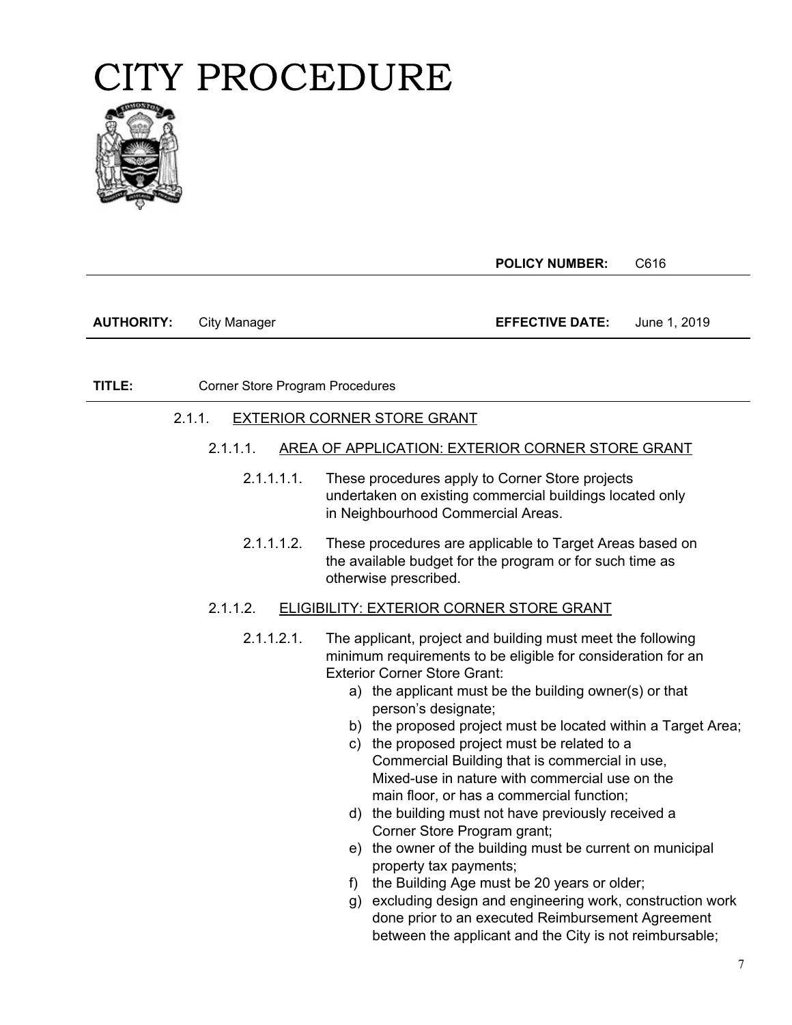

**POLICY NUMBER:** C616

**AUTHORITY:** City Manager **EFFECTIVE DATE:** June 1, 2019

**TITLE:** Corner Store Program Procedures

#### 2.1.1. EXTERIOR CORNER STORE GRANT

- **PAGE:** 2.1.1.1. AREA OF APPLICATION: EXTERIOR CORNER STORE GRANT
	- 2.1.1.1.1. These procedures apply to Corner Store projects undertaken on existing commercial buildings located only in Neighbourhood Commercial Areas.
	- 2.1.1.1.2. These procedures are applicable to Target Areas based on the available budget for the program or for such time as otherwise prescribed.

#### 2.1.1.2. ELIGIBILITY: EXTERIOR CORNER STORE GRANT

- 2.1.1.2.1. The applicant, project and building must meet the following minimum requirements to be eligible for consideration for an Exterior Corner Store Grant:
	- a) the applicant must be the building owner(s) or that person's designate;
	- b) the proposed project must be located within a Target Area;
	- c) the proposed project must be related to a Commercial Building that is commercial in use, Mixed-use in nature with commercial use on the main floor, or has a commercial function;
	- d) the building must not have previously received a Corner Store Program grant;
	- e) the owner of the building must be current on municipal property tax payments;
	- f) the Building Age must be 20 years or older;
	- g) excluding design and engineering work, construction work done prior to an executed Reimbursement Agreement between the applicant and the City is not reimbursable;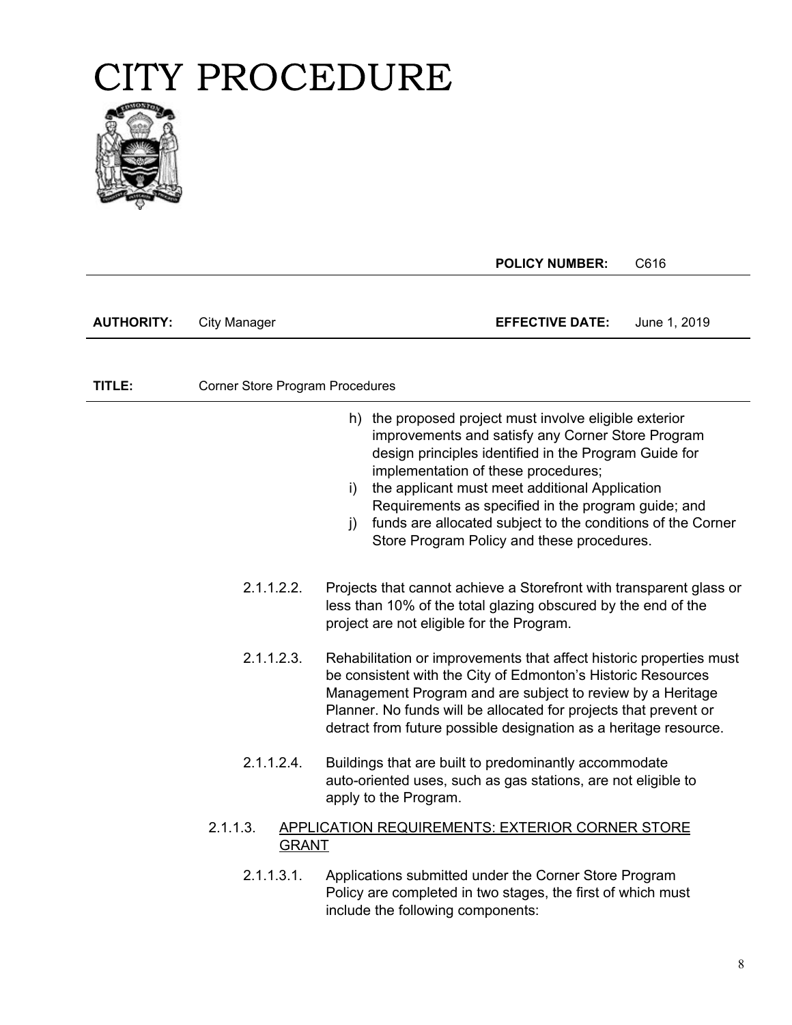

|                   |                                        |                                                                                                                                                                                                                                                                                                                                           | <b>POLICY NUMBER:</b>                                                                                                                                                                                                                                                                                                            | C616         |
|-------------------|----------------------------------------|-------------------------------------------------------------------------------------------------------------------------------------------------------------------------------------------------------------------------------------------------------------------------------------------------------------------------------------------|----------------------------------------------------------------------------------------------------------------------------------------------------------------------------------------------------------------------------------------------------------------------------------------------------------------------------------|--------------|
| <b>AUTHORITY:</b> | City Manager                           |                                                                                                                                                                                                                                                                                                                                           | <b>EFFECTIVE DATE:</b>                                                                                                                                                                                                                                                                                                           | June 1, 2019 |
|                   |                                        |                                                                                                                                                                                                                                                                                                                                           |                                                                                                                                                                                                                                                                                                                                  |              |
| TITLE:            | <b>Corner Store Program Procedures</b> |                                                                                                                                                                                                                                                                                                                                           |                                                                                                                                                                                                                                                                                                                                  |              |
|                   |                                        | h) the proposed project must involve eligible exterior<br>implementation of these procedures;<br>i)<br>$\mathbf{i}$                                                                                                                                                                                                                       | improvements and satisfy any Corner Store Program<br>design principles identified in the Program Guide for<br>the applicant must meet additional Application<br>Requirements as specified in the program guide; and<br>funds are allocated subject to the conditions of the Corner<br>Store Program Policy and these procedures. |              |
|                   | 2.1.1.2.2.                             | Projects that cannot achieve a Storefront with transparent glass or<br>less than 10% of the total glazing obscured by the end of the<br>project are not eligible for the Program.                                                                                                                                                         |                                                                                                                                                                                                                                                                                                                                  |              |
|                   | 2.1.1.2.3.                             | Rehabilitation or improvements that affect historic properties must<br>be consistent with the City of Edmonton's Historic Resources<br>Management Program and are subject to review by a Heritage<br>Planner. No funds will be allocated for projects that prevent or<br>detract from future possible designation as a heritage resource. |                                                                                                                                                                                                                                                                                                                                  |              |
|                   | 2.1.1.2.4.                             | Buildings that are built to predominantly accommodate<br>auto-oriented uses, such as gas stations, are not eligible to<br>apply to the Program.                                                                                                                                                                                           |                                                                                                                                                                                                                                                                                                                                  |              |
|                   | 2.1.1.3.<br><b>GRANT</b>               | APPLICATION REQUIREMENTS: EXTERIOR CORNER STORE                                                                                                                                                                                                                                                                                           |                                                                                                                                                                                                                                                                                                                                  |              |
|                   | 2.1.1.3.1.                             | Applications submitted under the Corner Store Program<br>Policy are completed in two stages, the first of which must<br>include the following components:                                                                                                                                                                                 |                                                                                                                                                                                                                                                                                                                                  |              |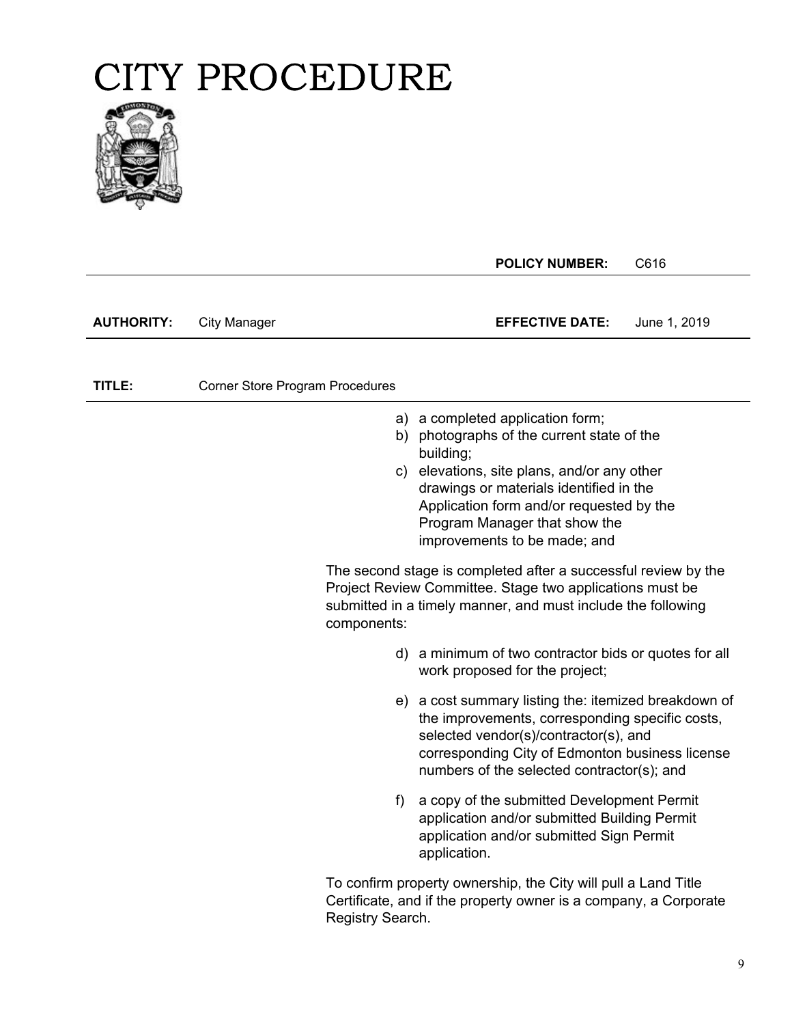

|                   |                                        | <b>POLICY NUMBER:</b>                                                                                                                                                                                                                                                                           | C616         |
|-------------------|----------------------------------------|-------------------------------------------------------------------------------------------------------------------------------------------------------------------------------------------------------------------------------------------------------------------------------------------------|--------------|
| <b>AUTHORITY:</b> | <b>City Manager</b>                    | <b>EFFECTIVE DATE:</b>                                                                                                                                                                                                                                                                          | June 1, 2019 |
| TITLE:            | <b>Corner Store Program Procedures</b> |                                                                                                                                                                                                                                                                                                 |              |
|                   | C)                                     | a) a completed application form;<br>b) photographs of the current state of the<br>building;<br>elevations, site plans, and/or any other<br>drawings or materials identified in the<br>Application form and/or requested by the<br>Program Manager that show the<br>improvements to be made; and |              |
|                   | components:                            | The second stage is completed after a successful review by the<br>Project Review Committee. Stage two applications must be<br>submitted in a timely manner, and must include the following                                                                                                      |              |
|                   |                                        | d) a minimum of two contractor bids or quotes for all<br>work proposed for the project;                                                                                                                                                                                                         |              |
|                   |                                        | e) a cost summary listing the: itemized breakdown of<br>the improvements, corresponding specific costs,<br>selected vendor(s)/contractor(s), and<br>corresponding City of Edmonton business license<br>numbers of the selected contractor(s); and                                               |              |
|                   | f)                                     | a copy of the submitted Development Permit<br>application and/or submitted Building Permit<br>application and/or submitted Sign Permit<br>application.                                                                                                                                          |              |
|                   | Registry Search.                       | To confirm property ownership, the City will pull a Land Title<br>Certificate, and if the property owner is a company, a Corporate                                                                                                                                                              |              |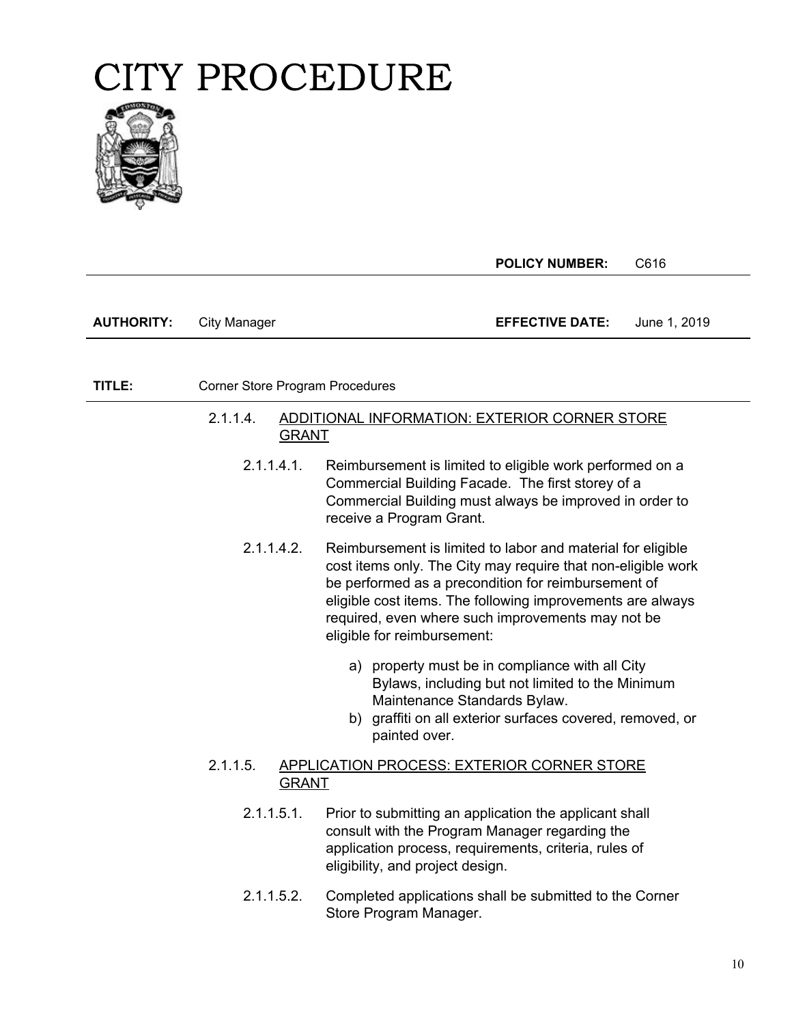

**POLICY NUMBER:** C616 **AUTHORITY:** City Manager **EFFECTIVE DATE:** June 1, 2019 **TITLE:** Corner Store Program Procedures **PAGE:** 2.1.1.4.1. Reimbursement is limited to eligible work performed on a 2.1.1.4. ADDITIONAL INFORMATION: EXTERIOR CORNER STORE GRANT Commercial Building Facade. The first storey of a Commercial Building must always be improved in order to receive a Program Grant. 2.1.1.4.2. Reimbursement is limited to labor and material for eligible cost items only. The City may require that non-eligible work be performed as a precondition for reimbursement of eligible cost items. The following improvements are always required, even where such improvements may not be eligible for reimbursement: a) property must be in compliance with all City Bylaws, including but not limited to the Minimum Maintenance Standards Bylaw. b) graffiti on all exterior surfaces covered, removed, or painted over. 2.1.1.5. APPLICATION PROCESS: EXTERIOR CORNER STORE GRANT 2.1.1.5.1. Prior to submitting an application the applicant shall consult with the Program Manager regarding the application process, requirements, criteria, rules of eligibility, and project design. 2.1.1.5.2. Completed applications shall be submitted to the Corner Store Program Manager.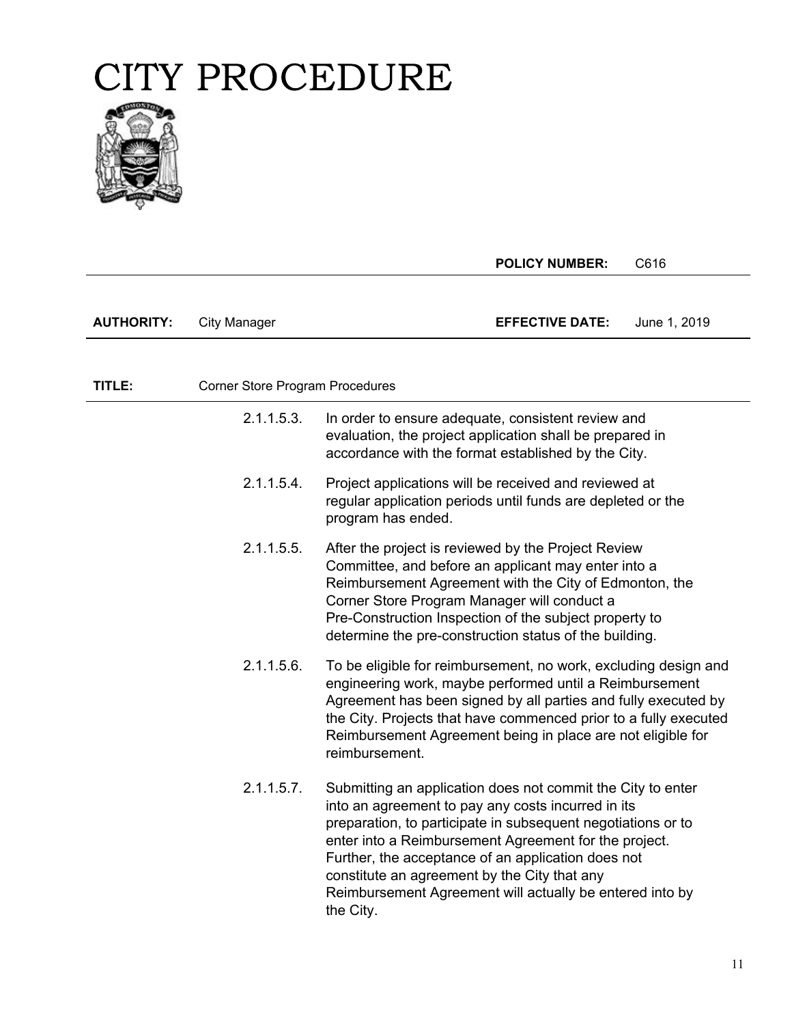

|                   |                                 | <b>POLICY NUMBER:</b>                                                                                                                                                                                                                                                                                                                                                                                                     | C616         |
|-------------------|---------------------------------|---------------------------------------------------------------------------------------------------------------------------------------------------------------------------------------------------------------------------------------------------------------------------------------------------------------------------------------------------------------------------------------------------------------------------|--------------|
| <b>AUTHORITY:</b> | <b>City Manager</b>             | <b>EFFECTIVE DATE:</b>                                                                                                                                                                                                                                                                                                                                                                                                    | June 1, 2019 |
|                   |                                 |                                                                                                                                                                                                                                                                                                                                                                                                                           |              |
| TITLE:            | Corner Store Program Procedures |                                                                                                                                                                                                                                                                                                                                                                                                                           |              |
|                   | 2.1.1.5.3.                      | In order to ensure adequate, consistent review and<br>evaluation, the project application shall be prepared in<br>accordance with the format established by the City.                                                                                                                                                                                                                                                     |              |
|                   | 2.1.1.5.4.                      | Project applications will be received and reviewed at<br>regular application periods until funds are depleted or the<br>program has ended.                                                                                                                                                                                                                                                                                |              |
|                   | 2.1.1.5.5.                      | After the project is reviewed by the Project Review<br>Committee, and before an applicant may enter into a<br>Reimbursement Agreement with the City of Edmonton, the<br>Corner Store Program Manager will conduct a<br>Pre-Construction Inspection of the subject property to<br>determine the pre-construction status of the building.                                                                                   |              |
|                   | $2.1.1.5.6$ .                   | To be eligible for reimbursement, no work, excluding design and<br>engineering work, maybe performed until a Reimbursement<br>Agreement has been signed by all parties and fully executed by<br>the City. Projects that have commenced prior to a fully executed<br>Reimbursement Agreement being in place are not eligible for<br>reimbursement.                                                                         |              |
|                   | 2.1.1.5.7.                      | Submitting an application does not commit the City to enter<br>into an agreement to pay any costs incurred in its<br>preparation, to participate in subsequent negotiations or to<br>enter into a Reimbursement Agreement for the project.<br>Further, the acceptance of an application does not<br>constitute an agreement by the City that any<br>Reimbursement Agreement will actually be entered into by<br>the City. |              |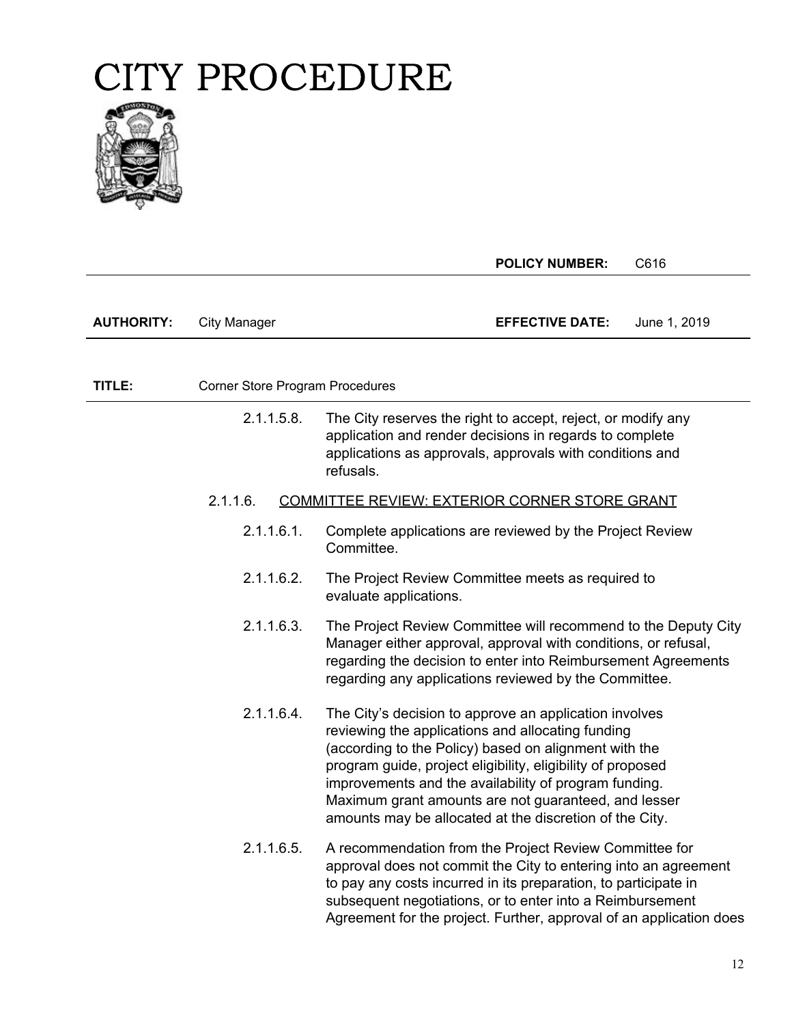

|                   |                                 | <b>POLICY NUMBER:</b>                                                                                                                                                                                                                                                                                                                                                                                           | C616         |
|-------------------|---------------------------------|-----------------------------------------------------------------------------------------------------------------------------------------------------------------------------------------------------------------------------------------------------------------------------------------------------------------------------------------------------------------------------------------------------------------|--------------|
|                   |                                 |                                                                                                                                                                                                                                                                                                                                                                                                                 |              |
| <b>AUTHORITY:</b> | <b>City Manager</b>             | <b>EFFECTIVE DATE:</b>                                                                                                                                                                                                                                                                                                                                                                                          | June 1, 2019 |
|                   |                                 |                                                                                                                                                                                                                                                                                                                                                                                                                 |              |
| TITLE:            | Corner Store Program Procedures |                                                                                                                                                                                                                                                                                                                                                                                                                 |              |
|                   | 2.1.1.5.8.                      | The City reserves the right to accept, reject, or modify any<br>application and render decisions in regards to complete<br>applications as approvals, approvals with conditions and<br>refusals.                                                                                                                                                                                                                |              |
|                   | 2.1.1.6.                        | COMMITTEE REVIEW: EXTERIOR CORNER STORE GRANT                                                                                                                                                                                                                                                                                                                                                                   |              |
|                   | 2.1.1.6.1.                      | Complete applications are reviewed by the Project Review<br>Committee.                                                                                                                                                                                                                                                                                                                                          |              |
|                   | 2.1.1.6.2.                      | The Project Review Committee meets as required to<br>evaluate applications.                                                                                                                                                                                                                                                                                                                                     |              |
|                   | 2.1.1.6.3.                      | The Project Review Committee will recommend to the Deputy City<br>Manager either approval, approval with conditions, or refusal,<br>regarding the decision to enter into Reimbursement Agreements<br>regarding any applications reviewed by the Committee.                                                                                                                                                      |              |
|                   | 2.1.1.6.4.                      | The City's decision to approve an application involves<br>reviewing the applications and allocating funding<br>(according to the Policy) based on alignment with the<br>program guide, project eligibility, eligibility of proposed<br>improvements and the availability of program funding.<br>Maximum grant amounts are not guaranteed, and lesser<br>amounts may be allocated at the discretion of the City. |              |
|                   | 2.1.1.6.5.                      | A recommendation from the Project Review Committee for<br>approval does not commit the City to entering into an agreement<br>to pay any costs incurred in its preparation, to participate in<br>subsequent negotiations, or to enter into a Reimbursement<br>Agreement for the project. Further, approval of an application does                                                                                |              |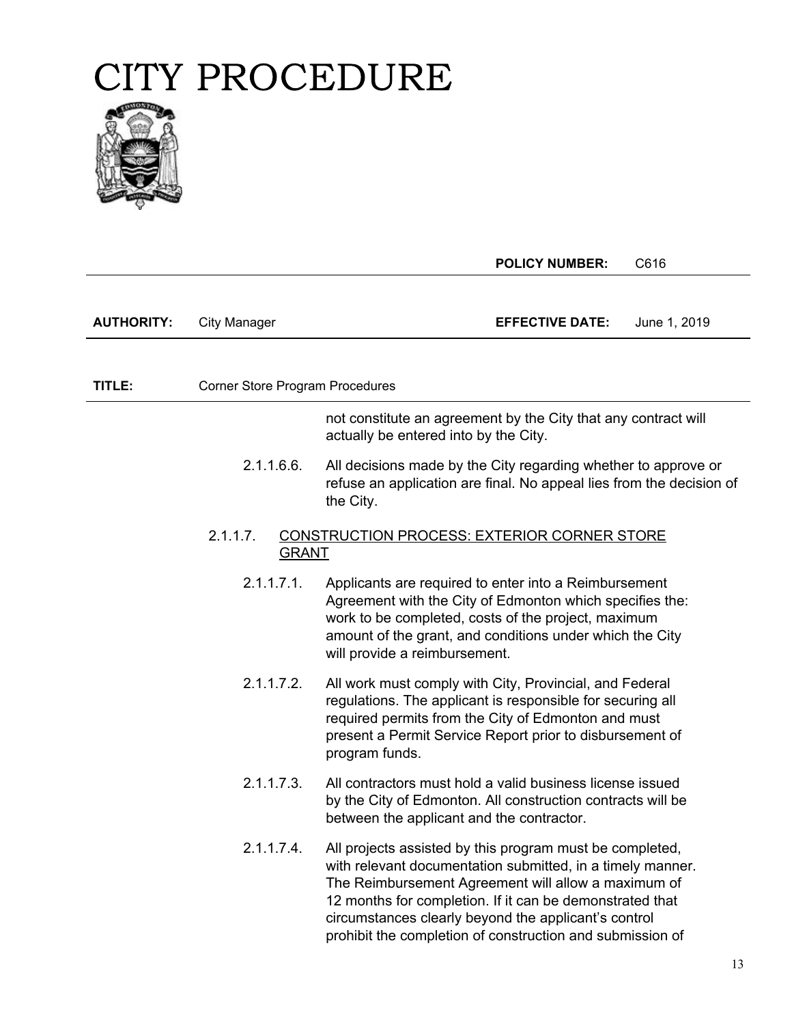

|                   |                                        | <b>POLICY NUMBER:</b><br>C616                                                                                                                                                                                                                                                                                                                                  |    |
|-------------------|----------------------------------------|----------------------------------------------------------------------------------------------------------------------------------------------------------------------------------------------------------------------------------------------------------------------------------------------------------------------------------------------------------------|----|
|                   |                                        |                                                                                                                                                                                                                                                                                                                                                                |    |
| <b>AUTHORITY:</b> | <b>City Manager</b>                    | <b>EFFECTIVE DATE:</b><br>June 1, 2019                                                                                                                                                                                                                                                                                                                         |    |
|                   |                                        |                                                                                                                                                                                                                                                                                                                                                                |    |
| TITLE:            | <b>Corner Store Program Procedures</b> |                                                                                                                                                                                                                                                                                                                                                                |    |
|                   |                                        | not constitute an agreement by the City that any contract will<br>actually be entered into by the City.                                                                                                                                                                                                                                                        |    |
|                   | 2.1.1.6.6.                             | All decisions made by the City regarding whether to approve or<br>refuse an application are final. No appeal lies from the decision of<br>the City.                                                                                                                                                                                                            |    |
|                   | 2.1.1.7.<br><b>GRANT</b>               | <b>CONSTRUCTION PROCESS: EXTERIOR CORNER STORE</b>                                                                                                                                                                                                                                                                                                             |    |
|                   | 2.1.1.7.1.                             | Applicants are required to enter into a Reimbursement<br>Agreement with the City of Edmonton which specifies the:<br>work to be completed, costs of the project, maximum<br>amount of the grant, and conditions under which the City<br>will provide a reimbursement.                                                                                          |    |
|                   | 2.1.1.7.2.                             | All work must comply with City, Provincial, and Federal<br>regulations. The applicant is responsible for securing all<br>required permits from the City of Edmonton and must<br>present a Permit Service Report prior to disbursement of<br>program funds.                                                                                                     |    |
|                   | 2.1.1.7.3.                             | All contractors must hold a valid business license issued<br>by the City of Edmonton. All construction contracts will be<br>between the applicant and the contractor.                                                                                                                                                                                          |    |
|                   | 2.1.1.7.4.                             | All projects assisted by this program must be completed,<br>with relevant documentation submitted, in a timely manner.<br>The Reimbursement Agreement will allow a maximum of<br>12 months for completion. If it can be demonstrated that<br>circumstances clearly beyond the applicant's control<br>prohibit the completion of construction and submission of |    |
|                   |                                        |                                                                                                                                                                                                                                                                                                                                                                | 13 |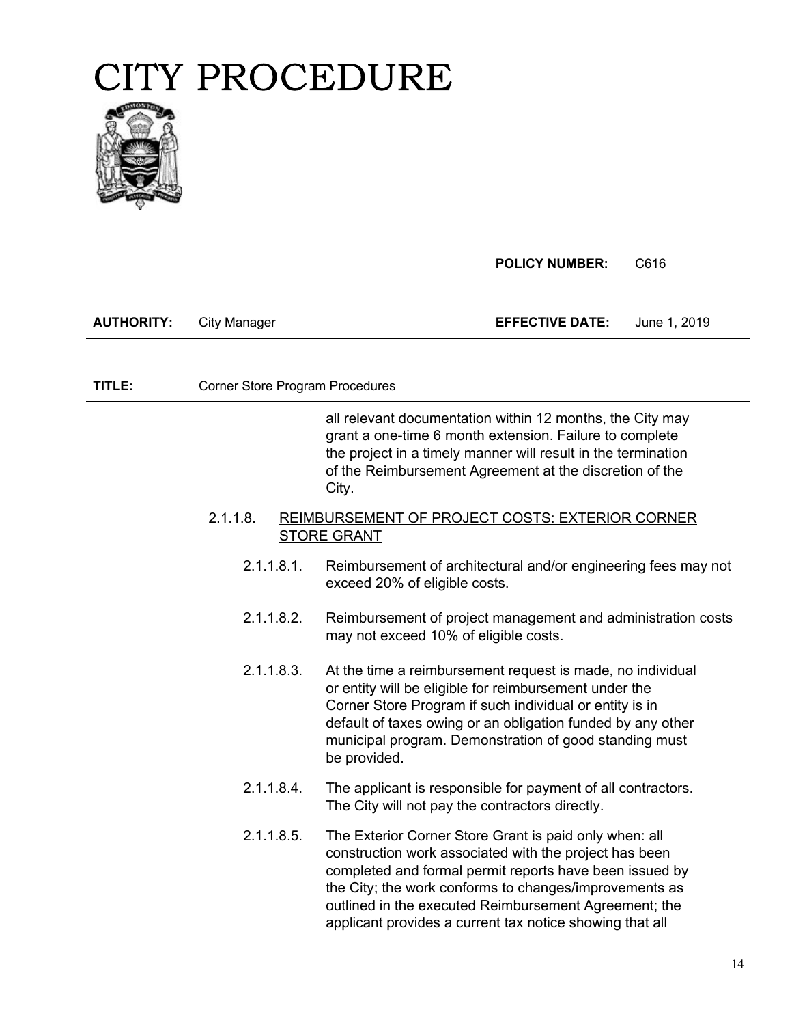

**POLICY NUMBER:** C616

| <b>AUTHORITY:</b> | City Manager | <b>EFFECTIVE DATE:</b> | June 1, 2019 |
|-------------------|--------------|------------------------|--------------|
|-------------------|--------------|------------------------|--------------|

**TITLE:** Corner Store Program Procedures

the project in a timely manner will result in the termination all relevant documentation within 12 months, the City may grant a one-time 6 month extension. Failure to complete of the Reimbursement Agreement at the discretion of the City.

#### 2.1.1.8. REIMBURSEMENT OF PROJECT COSTS: EXTERIOR CORNER STORE GRANT

- 2.1.1.8.1. Reimbursement of architectural and/or engineering fees may not exceed 20% of eligible costs.
- 2.1.1.8.2. Reimbursement of project management and administration costs may not exceed 10% of eligible costs.
- 2.1.1.8.3. At the time a reimbursement request is made, no individual or entity will be eligible for reimbursement under the Corner Store Program if such individual or entity is in default of taxes owing or an obligation funded by any other municipal program. Demonstration of good standing must be provided.
- 2.1.1.8.4. The applicant is responsible for payment of all contractors. The City will not pay the contractors directly.
- 2.1.1.8.5. The Exterior Corner Store Grant is paid only when: all construction work associated with the project has been completed and formal permit reports have been issued by the City; the work conforms to changes/improvements as outlined in the executed Reimbursement Agreement; the applicant provides a current tax notice showing that all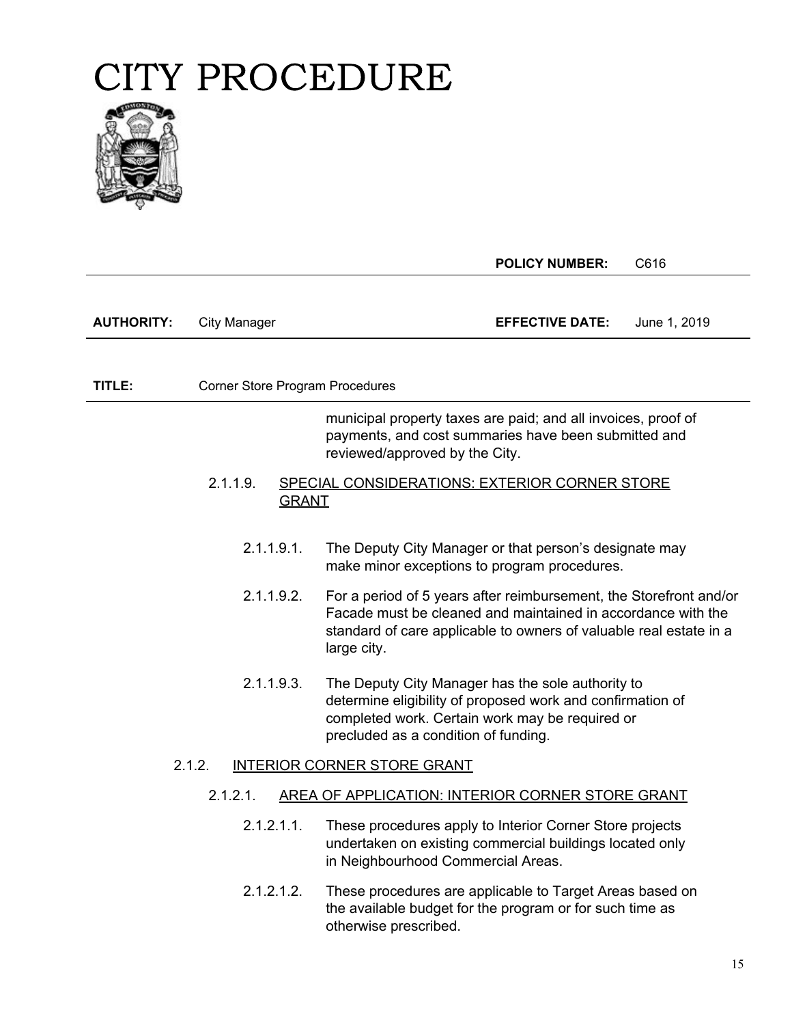

|                   |                                 | <b>POLICY NUMBER:</b>                                                                                                                                                                                                   | C616         |
|-------------------|---------------------------------|-------------------------------------------------------------------------------------------------------------------------------------------------------------------------------------------------------------------------|--------------|
| <b>AUTHORITY:</b> | <b>City Manager</b>             | <b>EFFECTIVE DATE:</b>                                                                                                                                                                                                  | June 1, 2019 |
|                   |                                 |                                                                                                                                                                                                                         |              |
| TITLE:            | Corner Store Program Procedures |                                                                                                                                                                                                                         |              |
|                   |                                 | municipal property taxes are paid; and all invoices, proof of<br>payments, and cost summaries have been submitted and<br>reviewed/approved by the City.                                                                 |              |
|                   | 2.1.1.9.<br><b>GRANT</b>        | SPECIAL CONSIDERATIONS: EXTERIOR CORNER STORE                                                                                                                                                                           |              |
|                   | 2.1.1.9.1.                      | The Deputy City Manager or that person's designate may<br>make minor exceptions to program procedures.                                                                                                                  |              |
|                   | 2.1.1.9.2.                      | For a period of 5 years after reimbursement, the Storefront and/or<br>Facade must be cleaned and maintained in accordance with the<br>standard of care applicable to owners of valuable real estate in a<br>large city. |              |
|                   | 2.1.1.9.3.                      | The Deputy City Manager has the sole authority to<br>determine eligibility of proposed work and confirmation of<br>completed work. Certain work may be required or<br>precluded as a condition of funding.              |              |
|                   | 2.1.2.                          | INTERIOR CORNER STORE GRANT                                                                                                                                                                                             |              |
|                   | 2.1.2.1.                        | AREA OF APPLICATION: INTERIOR CORNER STORE GRANT                                                                                                                                                                        |              |
|                   | $2.1.2.1.1$ .                   | These procedures apply to Interior Corner Store projects<br>undertaken on existing commercial buildings located only<br>in Neighbourhood Commercial Areas.                                                              |              |
|                   | 2.1.2.1.2.                      | These procedures are applicable to Target Areas based on<br>the available budget for the program or for such time as<br>otherwise prescribed.                                                                           |              |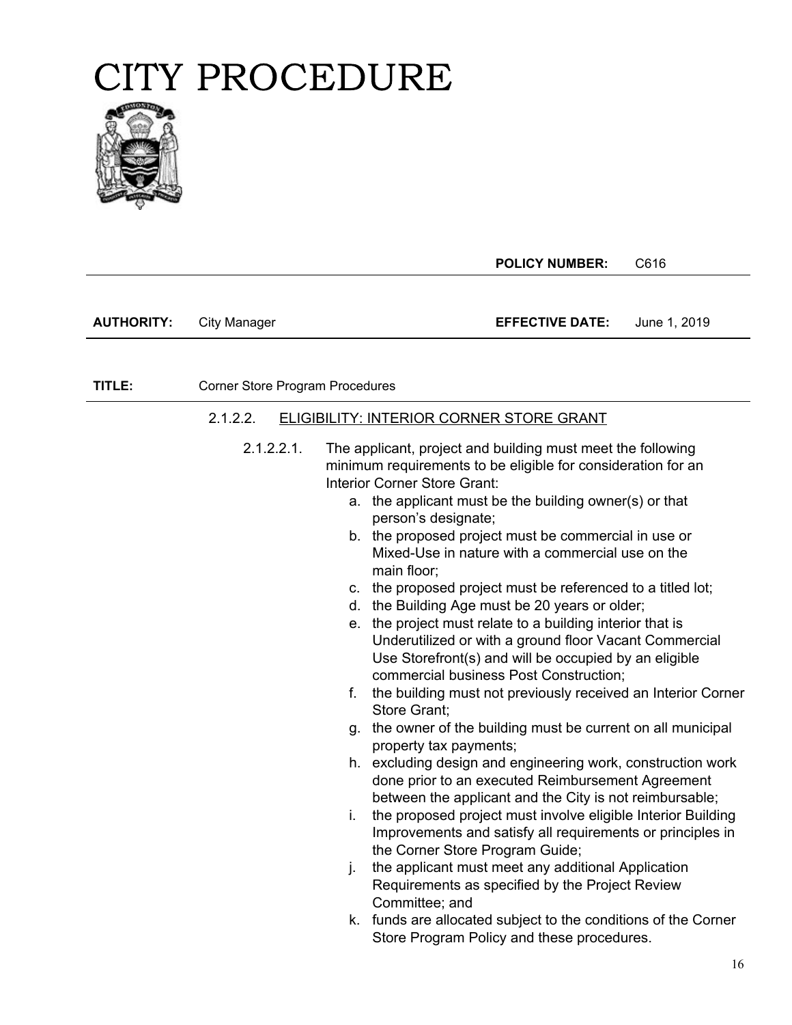

|                   |                                 | <b>POLICY NUMBER:</b><br>C616                                                                                                                                                                                                                                                                                                                                                                                                                                                                                                                                                                                                                                                                                                                                                        |
|-------------------|---------------------------------|--------------------------------------------------------------------------------------------------------------------------------------------------------------------------------------------------------------------------------------------------------------------------------------------------------------------------------------------------------------------------------------------------------------------------------------------------------------------------------------------------------------------------------------------------------------------------------------------------------------------------------------------------------------------------------------------------------------------------------------------------------------------------------------|
| <b>AUTHORITY:</b> | <b>City Manager</b>             | <b>EFFECTIVE DATE:</b><br>June 1, 2019                                                                                                                                                                                                                                                                                                                                                                                                                                                                                                                                                                                                                                                                                                                                               |
| TITLE:            | Corner Store Program Procedures |                                                                                                                                                                                                                                                                                                                                                                                                                                                                                                                                                                                                                                                                                                                                                                                      |
|                   | 2.1.2.2.<br>2.1.2.2.1.          | <b>ELIGIBILITY: INTERIOR CORNER STORE GRANT</b><br>The applicant, project and building must meet the following<br>minimum requirements to be eligible for consideration for an<br><b>Interior Corner Store Grant:</b><br>a. the applicant must be the building owner(s) or that<br>person's designate;<br>b. the proposed project must be commercial in use or<br>Mixed-Use in nature with a commercial use on the<br>main floor;<br>c. the proposed project must be referenced to a titled lot;<br>d. the Building Age must be 20 years or older;<br>e. the project must relate to a building interior that is<br>Underutilized or with a ground floor Vacant Commercial<br>Use Storefront(s) and will be occupied by an eligible<br>commercial business Post Construction;         |
|                   |                                 | the building must not previously received an Interior Corner<br>f.<br>Store Grant;<br>g. the owner of the building must be current on all municipal<br>property tax payments;<br>h. excluding design and engineering work, construction work<br>done prior to an executed Reimbursement Agreement<br>between the applicant and the City is not reimbursable;<br>the proposed project must involve eligible Interior Building<br>i.<br>Improvements and satisfy all requirements or principles in<br>the Corner Store Program Guide;<br>the applicant must meet any additional Application<br>j.<br>Requirements as specified by the Project Review<br>Committee; and<br>k. funds are allocated subject to the conditions of the Corner<br>Store Program Policy and these procedures. |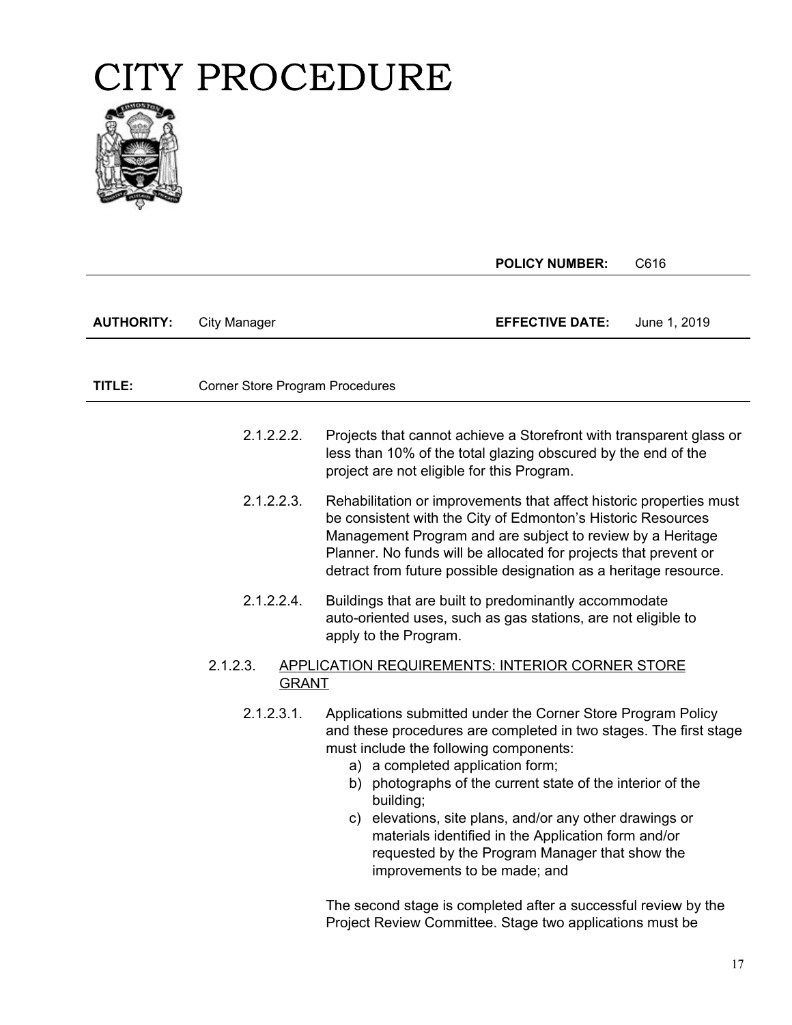

|                   |                                 | <b>POLICY NUMBER:</b><br>C616                                                                                                                                                                                                                                                                                                                                                                                                                                                                               |
|-------------------|---------------------------------|-------------------------------------------------------------------------------------------------------------------------------------------------------------------------------------------------------------------------------------------------------------------------------------------------------------------------------------------------------------------------------------------------------------------------------------------------------------------------------------------------------------|
| <b>AUTHORITY:</b> | <b>City Manager</b>             | <b>EFFECTIVE DATE:</b><br>June 1, 2019                                                                                                                                                                                                                                                                                                                                                                                                                                                                      |
|                   |                                 |                                                                                                                                                                                                                                                                                                                                                                                                                                                                                                             |
| TITLE:            | Corner Store Program Procedures |                                                                                                                                                                                                                                                                                                                                                                                                                                                                                                             |
|                   | 2.1.2.2.2.                      | Projects that cannot achieve a Storefront with transparent glass or<br>less than 10% of the total glazing obscured by the end of the<br>project are not eligible for this Program.                                                                                                                                                                                                                                                                                                                          |
|                   | 2.1.2.2.3.                      | Rehabilitation or improvements that affect historic properties must<br>be consistent with the City of Edmonton's Historic Resources<br>Management Program and are subject to review by a Heritage<br>Planner. No funds will be allocated for projects that prevent or<br>detract from future possible designation as a heritage resource.                                                                                                                                                                   |
|                   | 2.1.2.2.4.                      | Buildings that are built to predominantly accommodate<br>auto-oriented uses, such as gas stations, are not eligible to<br>apply to the Program.                                                                                                                                                                                                                                                                                                                                                             |
|                   | 2.1.2.3.<br><b>GRANT</b>        | <b>APPLICATION REQUIREMENTS: INTERIOR CORNER STORE</b>                                                                                                                                                                                                                                                                                                                                                                                                                                                      |
|                   | 2.1.2.3.1.                      | Applications submitted under the Corner Store Program Policy<br>and these procedures are completed in two stages. The first stage<br>must include the following components:<br>a) a completed application form;<br>b) photographs of the current state of the interior of the<br>building;<br>elevations, site plans, and/or any other drawings or<br>$\mathsf{C}$<br>materials identified in the Application form and/or<br>requested by the Program Manager that show the<br>improvements to be made; and |

The second stage is completed after a successful review by the Project Review Committee. Stage two applications must be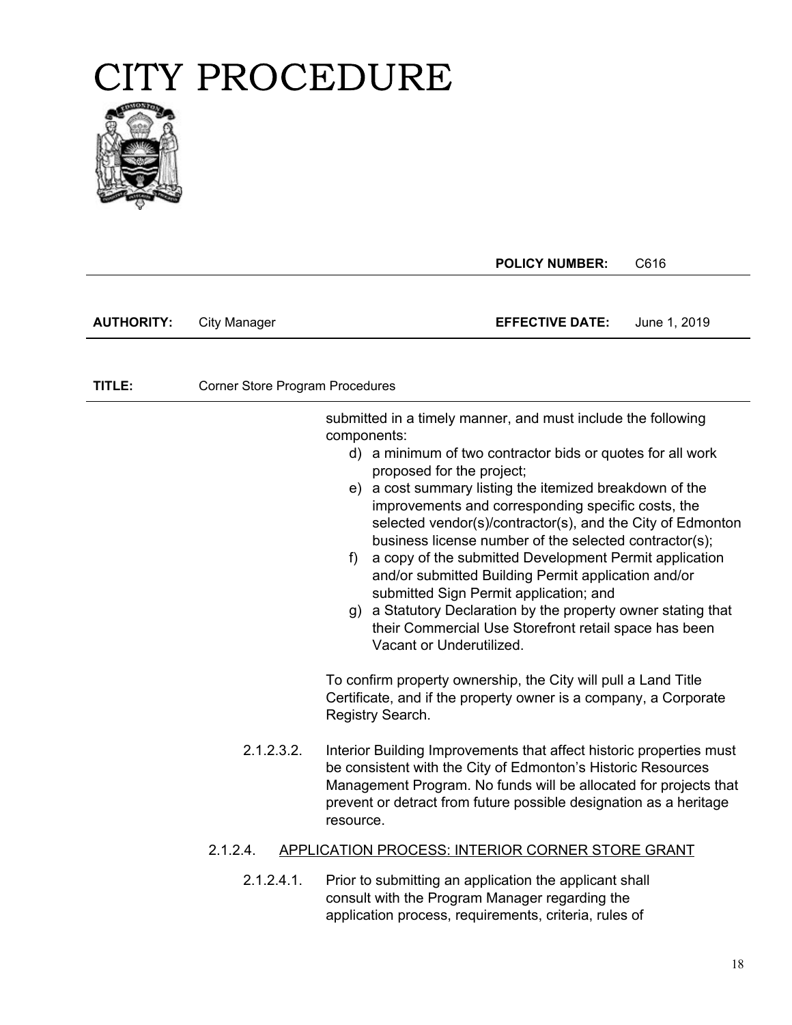

**POLICY NUMBER:** C616

**AUTHORITY:** City Manager **EFFECTIVE DATE:** June 1, 2019

**TITLE:** Corner Store Program Procedures

**PAGE:** d) a minimum of two contractor bids or quotes for all work submitted in a timely manner, and must include the following components: proposed for the project; e) a cost summary listing the itemized breakdown of the

- improvements and corresponding specific costs, the selected vendor(s)/contractor(s), and the City of Edmonton business license number of the selected contractor(s);
- f) a copy of the submitted Development Permit application and/or submitted Building Permit application and/or submitted Sign Permit application; and
- g) a Statutory Declaration by the property owner stating that their Commercial Use Storefront retail space has been Vacant or Underutilized.

To confirm property ownership, the City will pull a Land Title Certificate, and if the property owner is a company, a Corporate Registry Search.

2.1.2.3.2. Interior Building Improvements that affect historic properties must be consistent with the City of Edmonton's Historic Resources Management Program. No funds will be allocated for projects that prevent or detract from future possible designation as a heritage resource.

#### 2.1.2.4. APPLICATION PROCESS: INTERIOR CORNER STORE GRANT

2.1.2.4.1. Prior to submitting an application the applicant shall consult with the Program Manager regarding the application process, requirements, criteria, rules of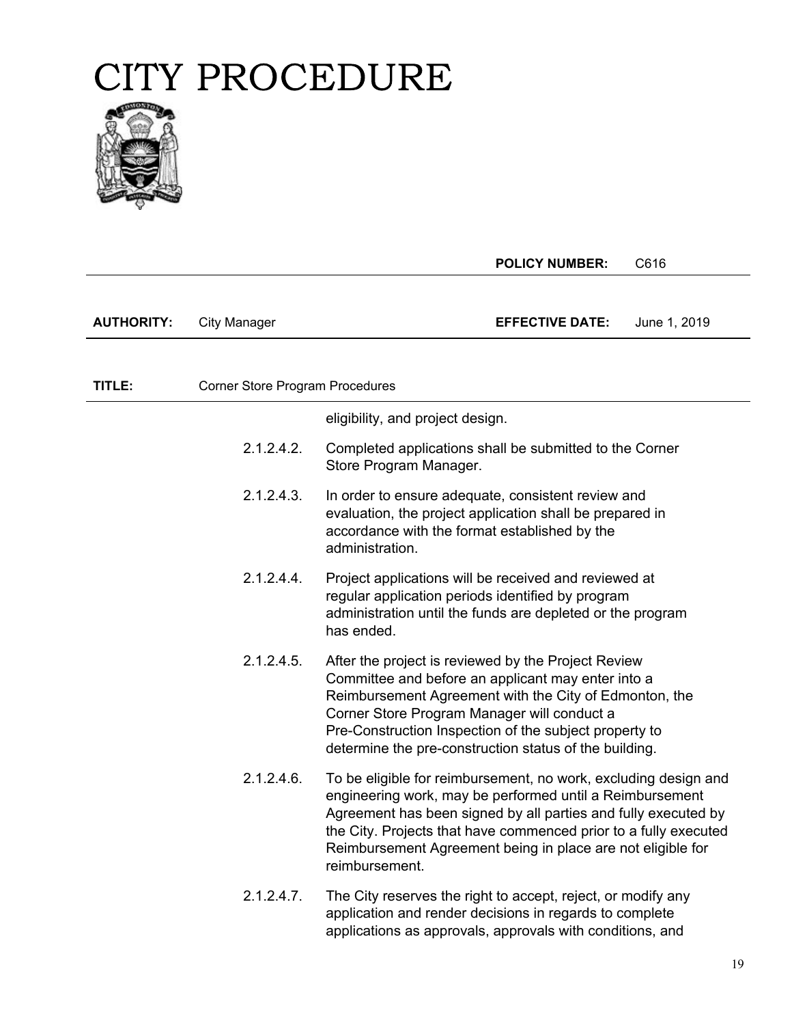

|                   |                                 | <b>POLICY NUMBER:</b>                                                                                                                                                                                                                                                                                                                              | C616         |
|-------------------|---------------------------------|----------------------------------------------------------------------------------------------------------------------------------------------------------------------------------------------------------------------------------------------------------------------------------------------------------------------------------------------------|--------------|
|                   |                                 |                                                                                                                                                                                                                                                                                                                                                    |              |
| <b>AUTHORITY:</b> | <b>City Manager</b>             | <b>EFFECTIVE DATE:</b>                                                                                                                                                                                                                                                                                                                             | June 1, 2019 |
|                   |                                 |                                                                                                                                                                                                                                                                                                                                                    |              |
| TITLE:            | Corner Store Program Procedures |                                                                                                                                                                                                                                                                                                                                                    |              |
|                   |                                 | eligibility, and project design.                                                                                                                                                                                                                                                                                                                   |              |
|                   | 2.1.2.4.2.                      | Completed applications shall be submitted to the Corner<br>Store Program Manager.                                                                                                                                                                                                                                                                  |              |
|                   | 2.1.2.4.3.                      | In order to ensure adequate, consistent review and<br>evaluation, the project application shall be prepared in<br>accordance with the format established by the<br>administration.                                                                                                                                                                 |              |
|                   | 2.1.2.4.4.                      | Project applications will be received and reviewed at<br>regular application periods identified by program<br>administration until the funds are depleted or the program<br>has ended.                                                                                                                                                             |              |
|                   | 2.1.2.4.5.                      | After the project is reviewed by the Project Review<br>Committee and before an applicant may enter into a<br>Reimbursement Agreement with the City of Edmonton, the<br>Corner Store Program Manager will conduct a<br>Pre-Construction Inspection of the subject property to<br>determine the pre-construction status of the building.             |              |
|                   | 2.1.2.4.6.                      | To be eligible for reimbursement, no work, excluding design and<br>engineering work, may be performed until a Reimbursement<br>Agreement has been signed by all parties and fully executed by<br>the City. Projects that have commenced prior to a fully executed<br>Reimbursement Agreement being in place are not eligible for<br>reimbursement. |              |
|                   | 2.1.2.4.7.                      | The City reserves the right to accept, reject, or modify any<br>application and render decisions in regards to complete<br>applications as approvals, approvals with conditions, and                                                                                                                                                               |              |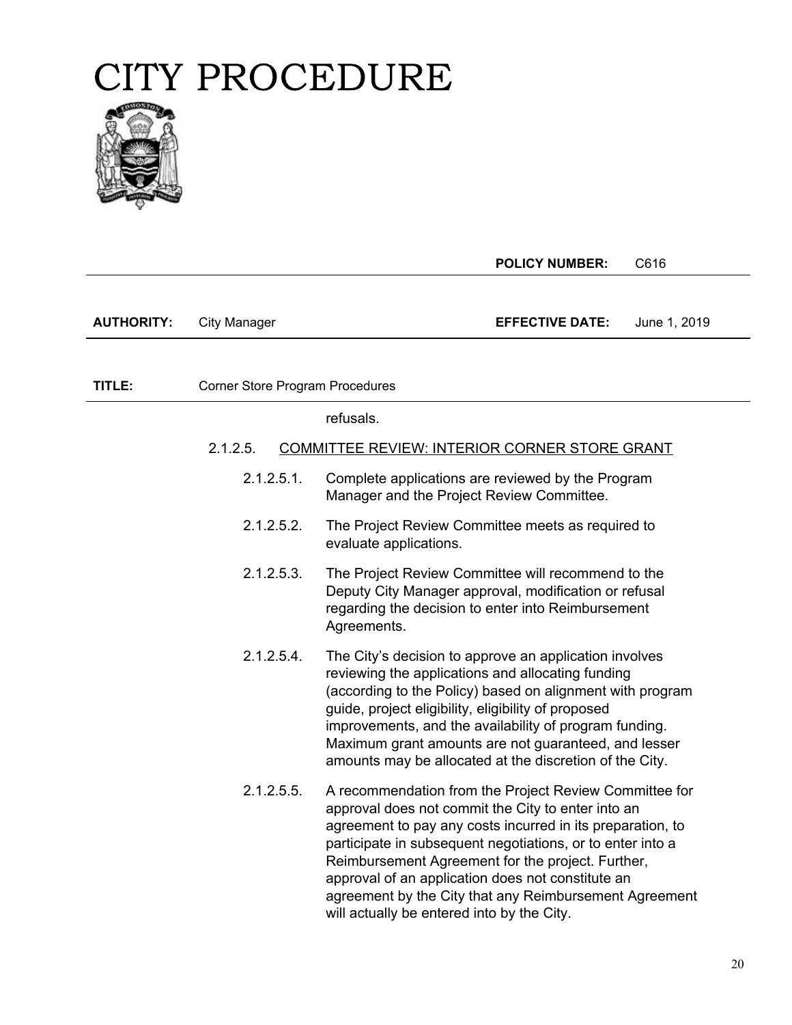

 $\overline{\phantom{a}}$ 

|                   |                                 | <b>POLICY NUMBER:</b><br>C616                                                                                                                                                                                                                                                                                                                                                                                                                              |
|-------------------|---------------------------------|------------------------------------------------------------------------------------------------------------------------------------------------------------------------------------------------------------------------------------------------------------------------------------------------------------------------------------------------------------------------------------------------------------------------------------------------------------|
| <b>AUTHORITY:</b> | <b>City Manager</b>             | <b>EFFECTIVE DATE:</b><br>June 1, 2019                                                                                                                                                                                                                                                                                                                                                                                                                     |
| TITLE:            | Corner Store Program Procedures |                                                                                                                                                                                                                                                                                                                                                                                                                                                            |
|                   |                                 | refusals.                                                                                                                                                                                                                                                                                                                                                                                                                                                  |
|                   | 2.1.2.5.                        | COMMITTEE REVIEW: INTERIOR CORNER STORE GRANT                                                                                                                                                                                                                                                                                                                                                                                                              |
|                   | 2.1.2.5.1.                      | Complete applications are reviewed by the Program<br>Manager and the Project Review Committee.                                                                                                                                                                                                                                                                                                                                                             |
|                   | 2.1.2.5.2.                      | The Project Review Committee meets as required to<br>evaluate applications.                                                                                                                                                                                                                                                                                                                                                                                |
|                   | 2.1.2.5.3.                      | The Project Review Committee will recommend to the<br>Deputy City Manager approval, modification or refusal<br>regarding the decision to enter into Reimbursement<br>Agreements.                                                                                                                                                                                                                                                                           |
|                   | 2.1.2.5.4.                      | The City's decision to approve an application involves<br>reviewing the applications and allocating funding<br>(according to the Policy) based on alignment with program<br>guide, project eligibility, eligibility of proposed<br>improvements, and the availability of program funding.<br>Maximum grant amounts are not guaranteed, and lesser<br>amounts may be allocated at the discretion of the City.                                               |
|                   | 2.1.2.5.5.                      | A recommendation from the Project Review Committee for<br>approval does not commit the City to enter into an<br>agreement to pay any costs incurred in its preparation, to<br>participate in subsequent negotiations, or to enter into a<br>Reimbursement Agreement for the project. Further,<br>approval of an application does not constitute an<br>agreement by the City that any Reimbursement Agreement<br>will actually be entered into by the City. |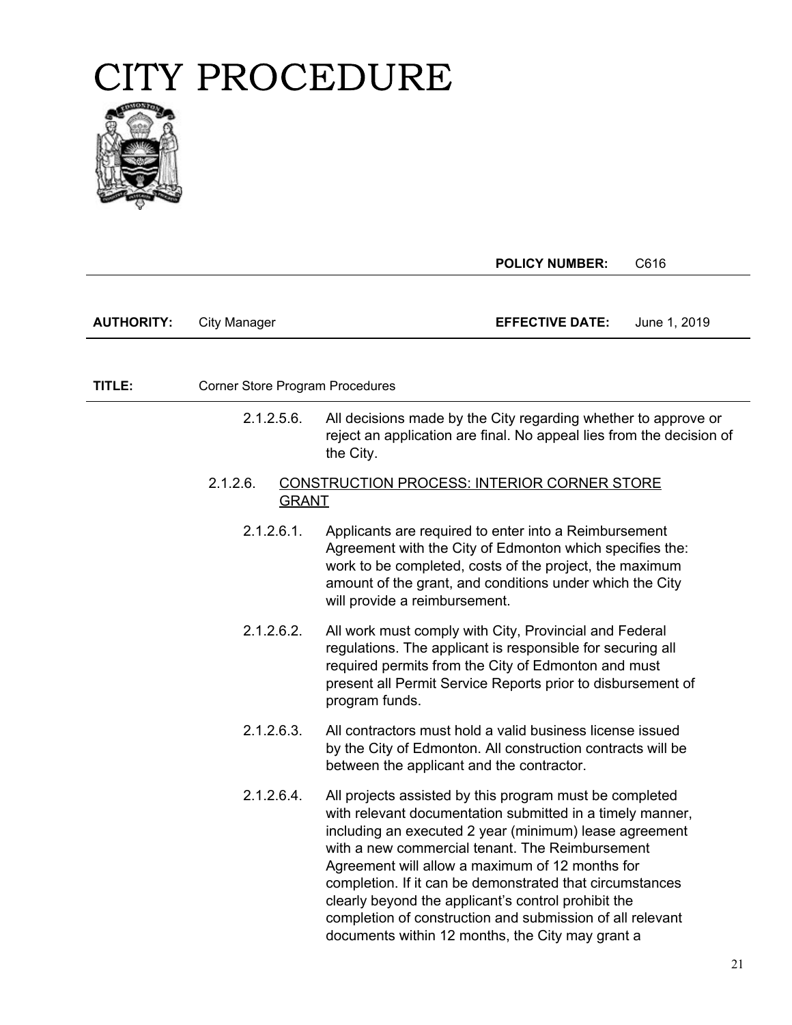

|                   |                                 | <b>POLICY NUMBER:</b>                                                                                                                                                                                                                                                                                                                                                                                                                                                                                                    | C616         |
|-------------------|---------------------------------|--------------------------------------------------------------------------------------------------------------------------------------------------------------------------------------------------------------------------------------------------------------------------------------------------------------------------------------------------------------------------------------------------------------------------------------------------------------------------------------------------------------------------|--------------|
| <b>AUTHORITY:</b> | <b>City Manager</b>             | <b>EFFECTIVE DATE:</b>                                                                                                                                                                                                                                                                                                                                                                                                                                                                                                   | June 1, 2019 |
| TITLE:            | Corner Store Program Procedures |                                                                                                                                                                                                                                                                                                                                                                                                                                                                                                                          |              |
|                   | $2.1.2.5.6$ .                   | All decisions made by the City regarding whether to approve or<br>reject an application are final. No appeal lies from the decision of<br>the City.                                                                                                                                                                                                                                                                                                                                                                      |              |
|                   | 2.1.2.6.<br><b>GRANT</b>        | <b>CONSTRUCTION PROCESS: INTERIOR CORNER STORE</b>                                                                                                                                                                                                                                                                                                                                                                                                                                                                       |              |
|                   | 2.1.2.6.1.                      | Applicants are required to enter into a Reimbursement<br>Agreement with the City of Edmonton which specifies the:<br>work to be completed, costs of the project, the maximum<br>amount of the grant, and conditions under which the City<br>will provide a reimbursement.                                                                                                                                                                                                                                                |              |
|                   | 2.1.2.6.2.                      | All work must comply with City, Provincial and Federal<br>regulations. The applicant is responsible for securing all<br>required permits from the City of Edmonton and must<br>present all Permit Service Reports prior to disbursement of<br>program funds.                                                                                                                                                                                                                                                             |              |
|                   | 2.1.2.6.3.                      | All contractors must hold a valid business license issued<br>by the City of Edmonton. All construction contracts will be<br>between the applicant and the contractor.                                                                                                                                                                                                                                                                                                                                                    |              |
|                   | 2.1.2.6.4.                      | All projects assisted by this program must be completed<br>with relevant documentation submitted in a timely manner,<br>including an executed 2 year (minimum) lease agreement<br>with a new commercial tenant. The Reimbursement<br>Agreement will allow a maximum of 12 months for<br>completion. If it can be demonstrated that circumstances<br>clearly beyond the applicant's control prohibit the<br>completion of construction and submission of all relevant<br>documents within 12 months, the City may grant a |              |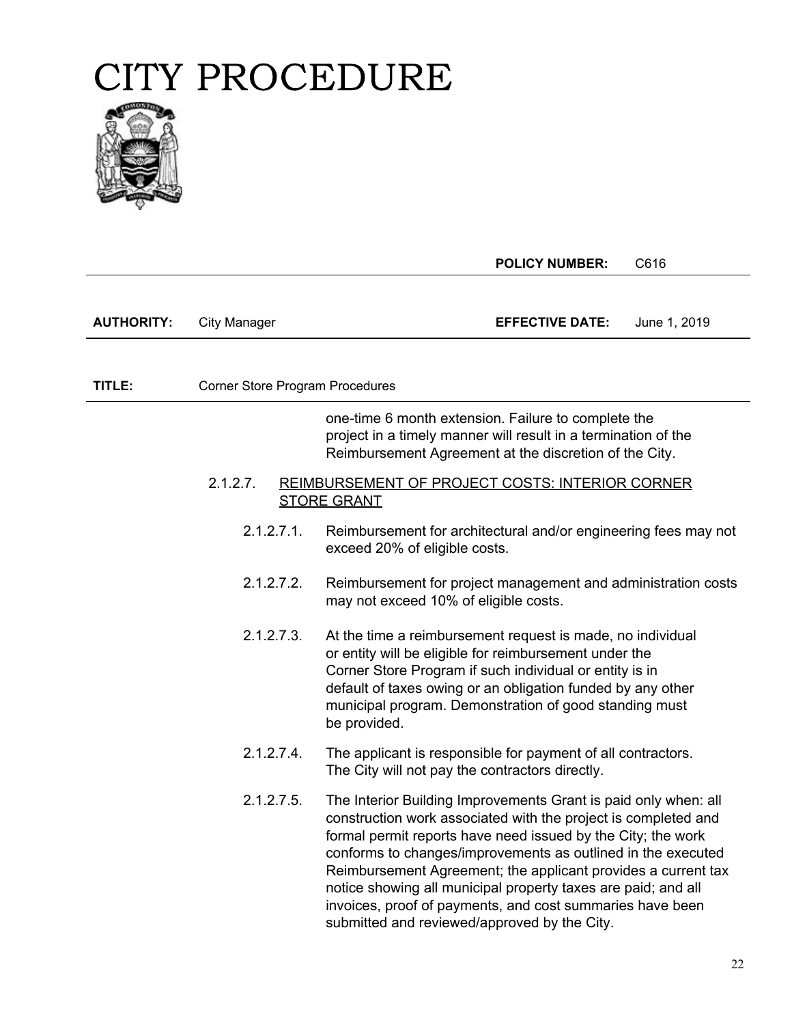

|                   |                                        | <b>POLICY NUMBER:</b>                                                                                                                                                                                                                                                                                                                                                                                                                                                                                            | C616         |
|-------------------|----------------------------------------|------------------------------------------------------------------------------------------------------------------------------------------------------------------------------------------------------------------------------------------------------------------------------------------------------------------------------------------------------------------------------------------------------------------------------------------------------------------------------------------------------------------|--------------|
| <b>AUTHORITY:</b> | <b>City Manager</b>                    | <b>EFFECTIVE DATE:</b>                                                                                                                                                                                                                                                                                                                                                                                                                                                                                           | June 1, 2019 |
|                   |                                        |                                                                                                                                                                                                                                                                                                                                                                                                                                                                                                                  |              |
| TITLE:            | <b>Corner Store Program Procedures</b> |                                                                                                                                                                                                                                                                                                                                                                                                                                                                                                                  |              |
|                   |                                        | one-time 6 month extension. Failure to complete the<br>project in a timely manner will result in a termination of the<br>Reimbursement Agreement at the discretion of the City.                                                                                                                                                                                                                                                                                                                                  |              |
|                   | 2.1.2.7.                               | REIMBURSEMENT OF PROJECT COSTS: INTERIOR CORNER<br><b>STORE GRANT</b>                                                                                                                                                                                                                                                                                                                                                                                                                                            |              |
|                   | 2.1.2.7.1.                             | Reimbursement for architectural and/or engineering fees may not<br>exceed 20% of eligible costs.                                                                                                                                                                                                                                                                                                                                                                                                                 |              |
|                   | 2.1.2.7.2.                             | Reimbursement for project management and administration costs<br>may not exceed 10% of eligible costs.                                                                                                                                                                                                                                                                                                                                                                                                           |              |
|                   | 2.1.2.7.3.                             | At the time a reimbursement request is made, no individual<br>or entity will be eligible for reimbursement under the<br>Corner Store Program if such individual or entity is in<br>default of taxes owing or an obligation funded by any other<br>municipal program. Demonstration of good standing must<br>be provided.                                                                                                                                                                                         |              |
|                   | 2.1.2.7.4.                             | The applicant is responsible for payment of all contractors.<br>The City will not pay the contractors directly.                                                                                                                                                                                                                                                                                                                                                                                                  |              |
|                   | 2.1.2.7.5.                             | The Interior Building Improvements Grant is paid only when: all<br>construction work associated with the project is completed and<br>formal permit reports have need issued by the City; the work<br>conforms to changes/improvements as outlined in the executed<br>Reimbursement Agreement; the applicant provides a current tax<br>notice showing all municipal property taxes are paid; and all<br>invoices, proof of payments, and cost summaries have been<br>submitted and reviewed/approved by the City. |              |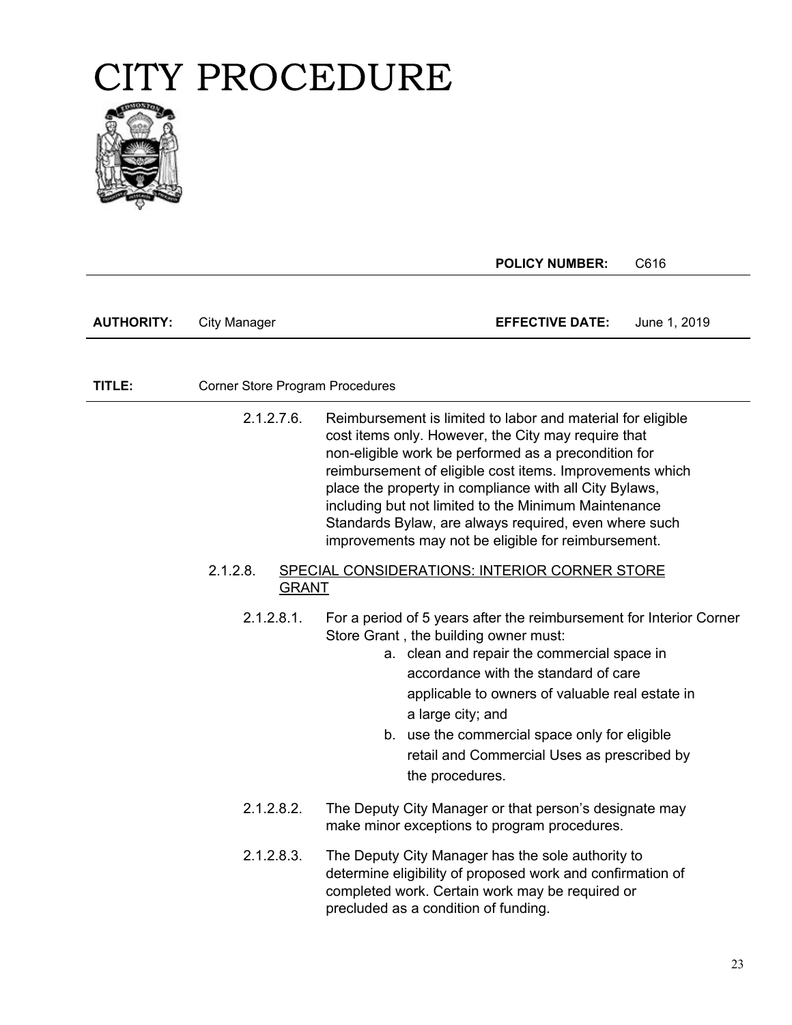

|                   |                                 | <b>POLICY NUMBER:</b><br>C616                                                                                                                                                                                                                                                                                                                                                                                                                                            |
|-------------------|---------------------------------|--------------------------------------------------------------------------------------------------------------------------------------------------------------------------------------------------------------------------------------------------------------------------------------------------------------------------------------------------------------------------------------------------------------------------------------------------------------------------|
| <b>AUTHORITY:</b> | City Manager                    | <b>EFFECTIVE DATE:</b><br>June 1, 2019                                                                                                                                                                                                                                                                                                                                                                                                                                   |
| TITLE:            | Corner Store Program Procedures |                                                                                                                                                                                                                                                                                                                                                                                                                                                                          |
|                   | 2.1.2.7.6.                      | Reimbursement is limited to labor and material for eligible<br>cost items only. However, the City may require that<br>non-eligible work be performed as a precondition for<br>reimbursement of eligible cost items. Improvements which<br>place the property in compliance with all City Bylaws,<br>including but not limited to the Minimum Maintenance<br>Standards Bylaw, are always required, even where such<br>improvements may not be eligible for reimbursement. |
|                   | $2.1.2.8$ .<br><b>GRANT</b>     | SPECIAL CONSIDERATIONS: INTERIOR CORNER STORE                                                                                                                                                                                                                                                                                                                                                                                                                            |
|                   | 2.1.2.8.1.                      | For a period of 5 years after the reimbursement for Interior Corner<br>Store Grant, the building owner must:<br>a. clean and repair the commercial space in<br>accordance with the standard of care<br>applicable to owners of valuable real estate in<br>a large city; and<br>b. use the commercial space only for eligible<br>retail and Commercial Uses as prescribed by<br>the procedures.                                                                           |
|                   | 2.1.2.8.2.                      | The Deputy City Manager or that person's designate may<br>make minor exceptions to program procedures                                                                                                                                                                                                                                                                                                                                                                    |
|                   | 2.1.2.8.3.                      | The Deputy City Manager has the sole authority to<br>determine eligibility of proposed work and confirmation of<br>completed work. Certain work may be required or<br>precluded as a condition of funding.                                                                                                                                                                                                                                                               |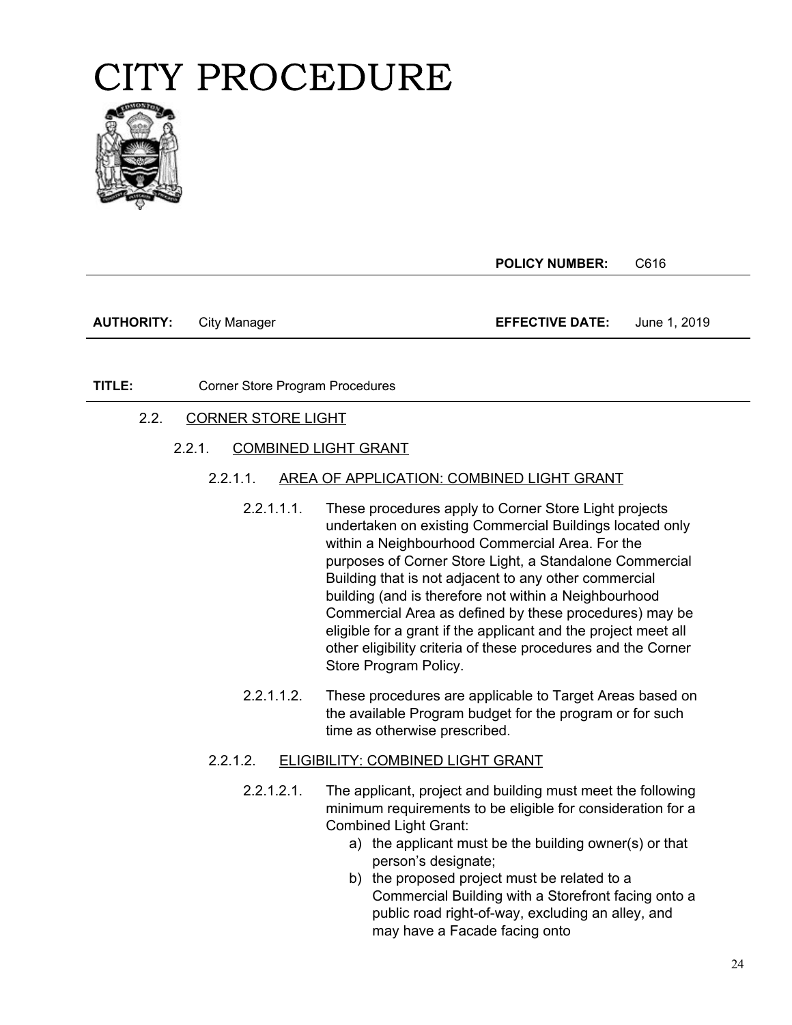

**POLICY NUMBER:** C616

**AUTHORITY:** City Manager **EFFECTIVE DATE:** June 1, 2019

#### **TITLE:** Corner Store Program Procedures

2.2. CORNER STORE LIGHT

#### 2.2.1. COMBINED LIGHT GRANT

- 2.2.1.1. AREA OF APPLICATION: COMBINED LIGHT GRANT
	- 2.2.1.1.1. These procedures apply to Corner Store Light projects undertaken on existing Commercial Buildings located only within a Neighbourhood Commercial Area. For the purposes of Corner Store Light, a Standalone Commercial Building that is not adjacent to any other commercial building (and is therefore not within a Neighbourhood Commercial Area as defined by these procedures) may be eligible for a grant if the applicant and the project meet all other eligibility criteria of these procedures and the Corner Store Program Policy.
	- 2.2.1.1.2. These procedures are applicable to Target Areas based on the available Program budget for the program or for such time as otherwise prescribed.

#### 2.2.1.2. ELIGIBILITY: COMBINED LIGHT GRANT

- 2.2.1.2.1. The applicant, project and building must meet the following minimum requirements to be eligible for consideration for a Combined Light Grant:
	- a) the applicant must be the building owner(s) or that person's designate;
	- b) the proposed project must be related to a Commercial Building with a Storefront facing onto a public road right-of-way, excluding an alley, and may have a Facade facing onto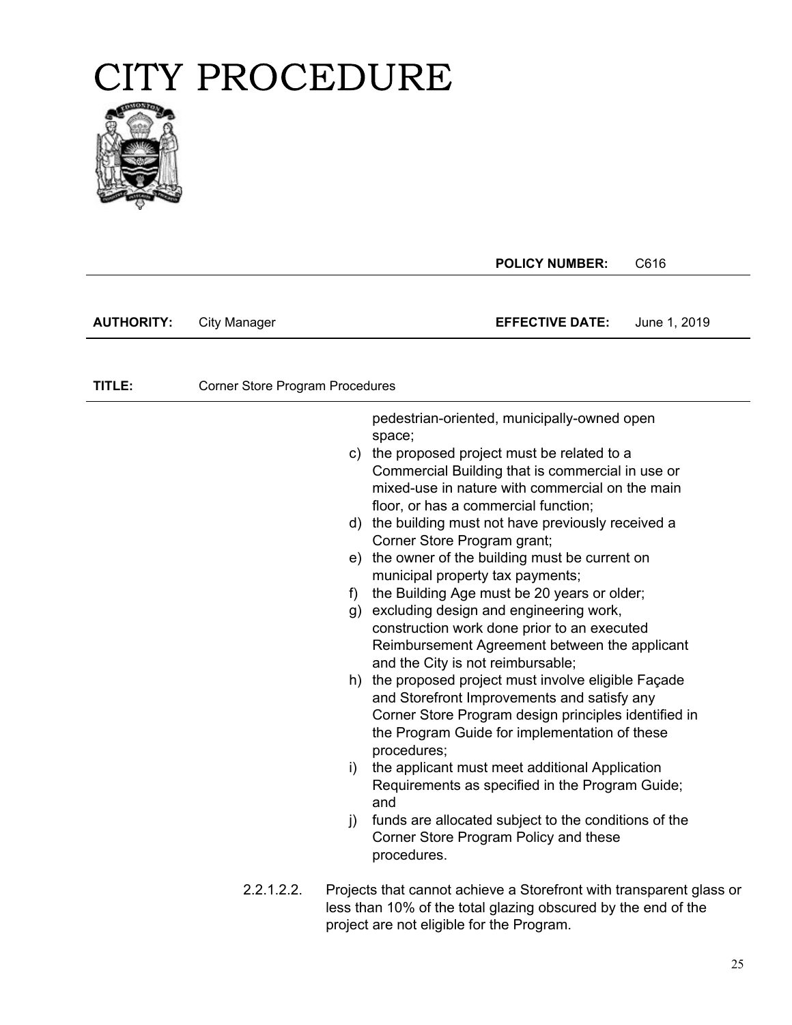

**POLICY NUMBER:** C616

**AUTHORITY:** City Manager **EFFECTIVE DATE:** June 1, 2019

**TITLE:** Corner Store Program Procedures

pedestrian-oriented, municipally-owned open space;

- c) the proposed project must be related to a Commercial Building that is commercial in use or mixed-use in nature with commercial on the main floor, or has a commercial function;
- d) the building must not have previously received a Corner Store Program grant;
- e) the owner of the building must be current on municipal property tax payments;
- f) the Building Age must be 20 years or older;
- g) excluding design and engineering work, construction work done prior to an executed Reimbursement Agreement between the applicant and the City is not reimbursable;
- h) the proposed project must involve eligible Façade and Storefront Improvements and satisfy any Corner Store Program design principles identified in the Program Guide for implementation of these procedures;
- i) the applicant must meet additional Application Requirements as specified in the Program Guide; and
- j) funds are allocated subject to the conditions of the Corner Store Program Policy and these procedures.
- 2.2.1.2.2. Projects that cannot achieve a Storefront with transparent glass or less than 10% of the total glazing obscured by the end of the project are not eligible for the Program.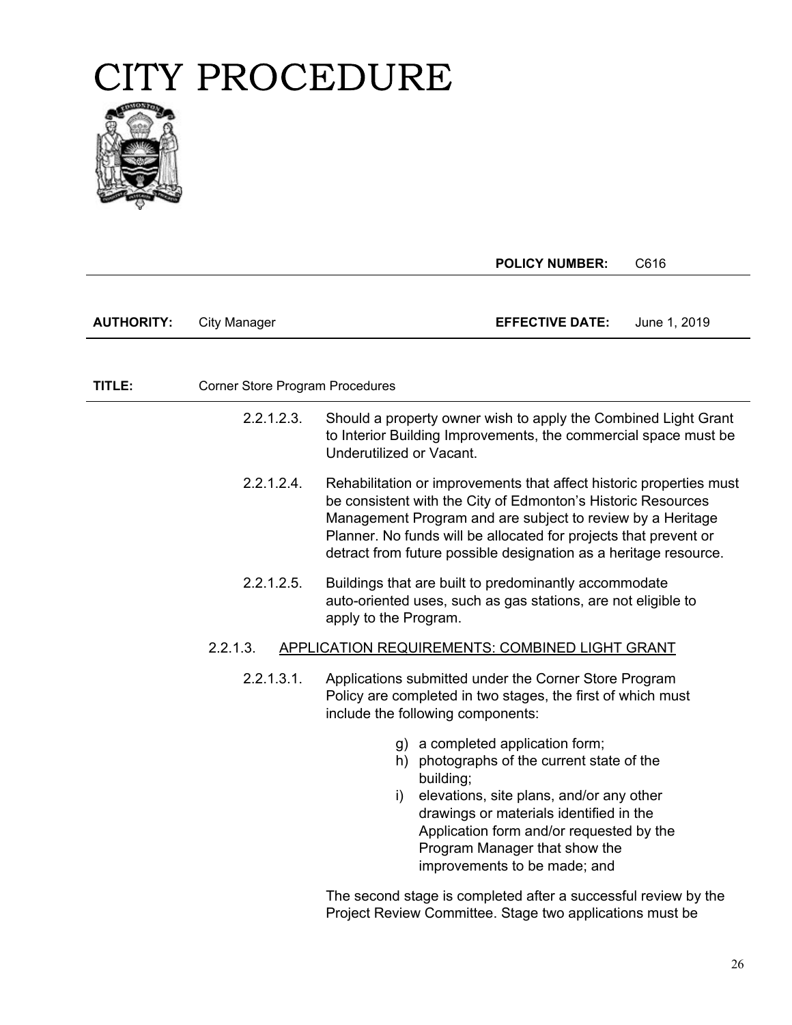

|                   |                                 | <b>POLICY NUMBER:</b><br>C616                                                                                                                                                                                                                                                                                                             |  |
|-------------------|---------------------------------|-------------------------------------------------------------------------------------------------------------------------------------------------------------------------------------------------------------------------------------------------------------------------------------------------------------------------------------------|--|
| <b>AUTHORITY:</b> | <b>City Manager</b>             | <b>EFFECTIVE DATE:</b><br>June 1, 2019                                                                                                                                                                                                                                                                                                    |  |
|                   |                                 |                                                                                                                                                                                                                                                                                                                                           |  |
|                   |                                 |                                                                                                                                                                                                                                                                                                                                           |  |
| TITLE:            | Corner Store Program Procedures |                                                                                                                                                                                                                                                                                                                                           |  |
|                   | 2.2.1.2.3.                      | Should a property owner wish to apply the Combined Light Grant<br>to Interior Building Improvements, the commercial space must be<br>Underutilized or Vacant.                                                                                                                                                                             |  |
|                   | 2.2.1.2.4.                      | Rehabilitation or improvements that affect historic properties must<br>be consistent with the City of Edmonton's Historic Resources<br>Management Program and are subject to review by a Heritage<br>Planner. No funds will be allocated for projects that prevent or<br>detract from future possible designation as a heritage resource. |  |
|                   | 2.2.1.2.5.                      | Buildings that are built to predominantly accommodate<br>auto-oriented uses, such as gas stations, are not eligible to<br>apply to the Program.                                                                                                                                                                                           |  |
|                   | 2.2.1.3.                        | APPLICATION REQUIREMENTS: COMBINED LIGHT GRANT                                                                                                                                                                                                                                                                                            |  |
|                   | 2.2.1.3.1.                      | Applications submitted under the Corner Store Program<br>Policy are completed in two stages, the first of which must<br>include the following components:                                                                                                                                                                                 |  |
|                   |                                 | g) a completed application form;<br>h) photographs of the current state of the<br>building;<br>elevations, site plans, and/or any other<br>i)<br>drawings or materials identified in the<br>Application form and/or requested by the<br>Program Manager that show the<br>improvements to be made; and                                     |  |
|                   |                                 | The second stage is completed after a successful review by the<br>Project Review Committee. Stage two applications must be                                                                                                                                                                                                                |  |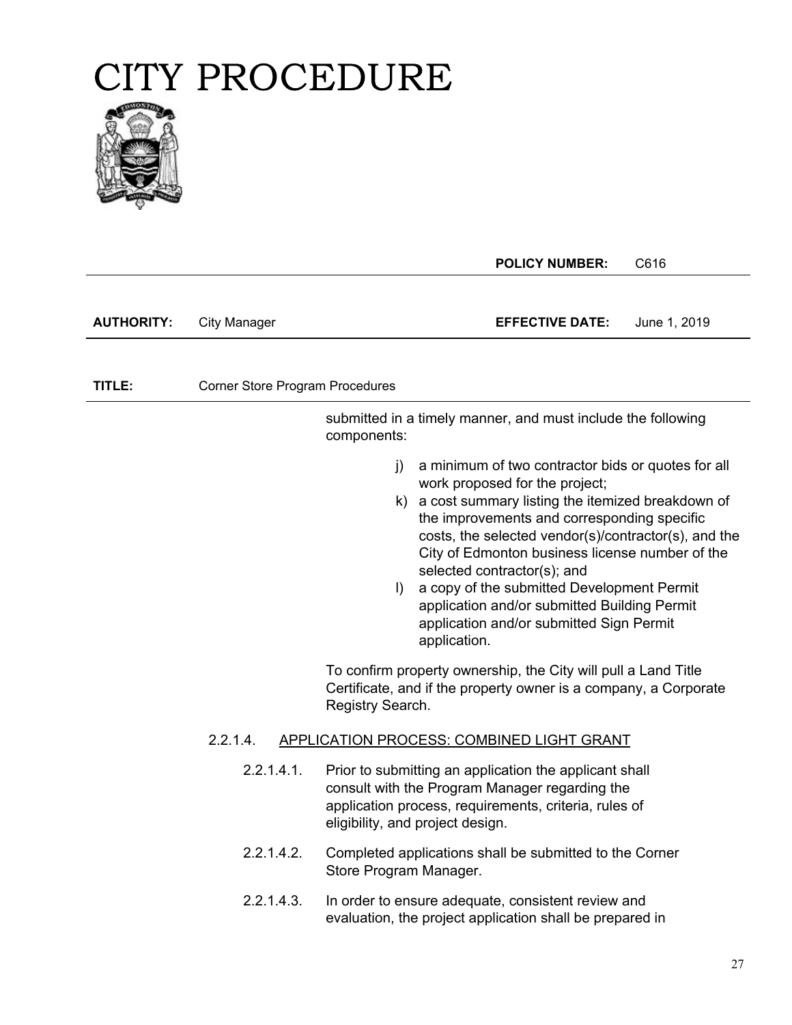

|                   |                                        |                         | <b>POLICY NUMBER:</b>                                                                                                                                                                                                                                                                                                                                                                                                                                                                          | C616         |
|-------------------|----------------------------------------|-------------------------|------------------------------------------------------------------------------------------------------------------------------------------------------------------------------------------------------------------------------------------------------------------------------------------------------------------------------------------------------------------------------------------------------------------------------------------------------------------------------------------------|--------------|
| <b>AUTHORITY:</b> | <b>City Manager</b>                    |                         | <b>EFFECTIVE DATE:</b>                                                                                                                                                                                                                                                                                                                                                                                                                                                                         | June 1, 2019 |
| TITLE:            | <b>Corner Store Program Procedures</b> |                         |                                                                                                                                                                                                                                                                                                                                                                                                                                                                                                |              |
|                   |                                        | components:             | submitted in a timely manner, and must include the following                                                                                                                                                                                                                                                                                                                                                                                                                                   |              |
|                   |                                        | $\mathbf{j}$<br>$\vert$ | a minimum of two contractor bids or quotes for all<br>work proposed for the project;<br>k) a cost summary listing the itemized breakdown of<br>the improvements and corresponding specific<br>costs, the selected vendor(s)/contractor(s), and the<br>City of Edmonton business license number of the<br>selected contractor(s); and<br>a copy of the submitted Development Permit<br>application and/or submitted Building Permit<br>application and/or submitted Sign Permit<br>application. |              |
|                   |                                        | Registry Search.        | To confirm property ownership, the City will pull a Land Title<br>Certificate, and if the property owner is a company, a Corporate                                                                                                                                                                                                                                                                                                                                                             |              |
|                   | 2.2.1.4.                               |                         | <b>APPLICATION PROCESS: COMBINED LIGHT GRANT</b>                                                                                                                                                                                                                                                                                                                                                                                                                                               |              |
|                   | 2.2.1.4.1.                             |                         | Prior to submitting an application the applicant shall<br>consult with the Program Manager regarding the<br>application process, requirements, criteria, rules of<br>eligibility, and project design.                                                                                                                                                                                                                                                                                          |              |
|                   | 2.2.1.4.2.                             | Store Program Manager.  | Completed applications shall be submitted to the Corner                                                                                                                                                                                                                                                                                                                                                                                                                                        |              |
|                   | 2.2.1.4.3.                             |                         | In order to ensure adequate, consistent review and<br>evaluation, the project application shall be prepared in                                                                                                                                                                                                                                                                                                                                                                                 |              |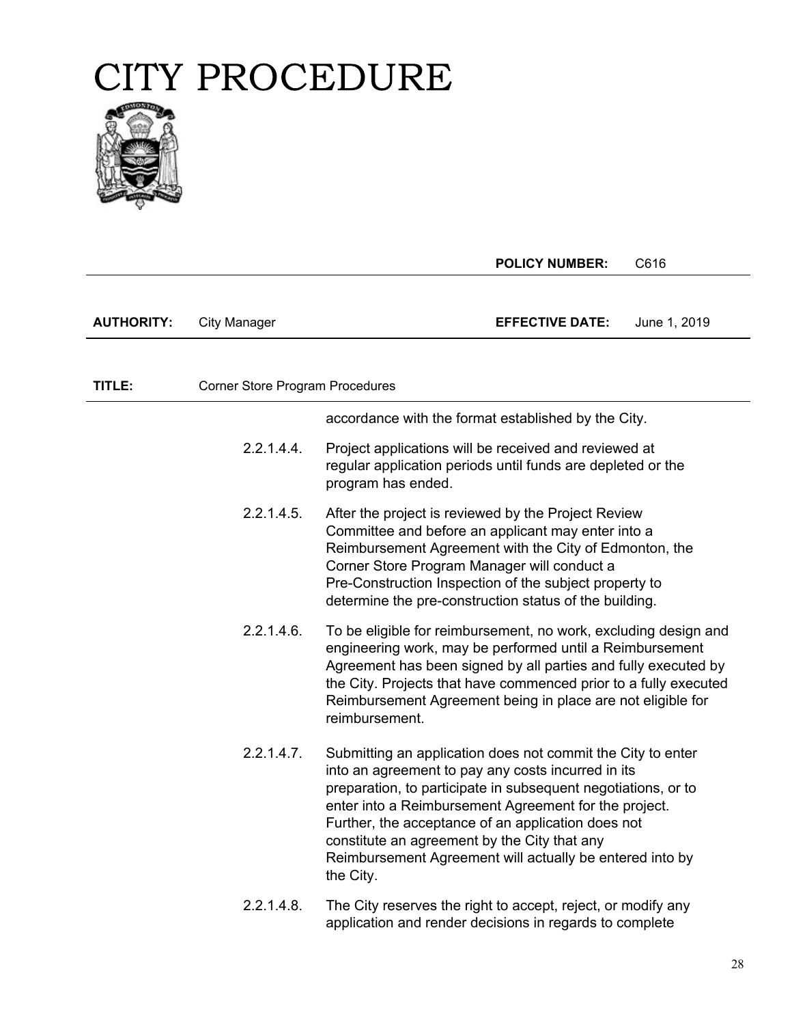

|                   |                                        | <b>POLICY NUMBER:</b>                                                                                                                                                                                                                                                                                                                                                                                                      | C616         |
|-------------------|----------------------------------------|----------------------------------------------------------------------------------------------------------------------------------------------------------------------------------------------------------------------------------------------------------------------------------------------------------------------------------------------------------------------------------------------------------------------------|--------------|
|                   |                                        |                                                                                                                                                                                                                                                                                                                                                                                                                            |              |
| <b>AUTHORITY:</b> | <b>City Manager</b>                    | <b>EFFECTIVE DATE:</b>                                                                                                                                                                                                                                                                                                                                                                                                     | June 1, 2019 |
|                   |                                        |                                                                                                                                                                                                                                                                                                                                                                                                                            |              |
| TITLE:            | <b>Corner Store Program Procedures</b> |                                                                                                                                                                                                                                                                                                                                                                                                                            |              |
|                   |                                        | accordance with the format established by the City.                                                                                                                                                                                                                                                                                                                                                                        |              |
|                   | 2.2.1.4.4.                             | Project applications will be received and reviewed at<br>regular application periods until funds are depleted or the<br>program has ended.                                                                                                                                                                                                                                                                                 |              |
|                   | 2.2.1.4.5.                             | After the project is reviewed by the Project Review<br>Committee and before an applicant may enter into a<br>Reimbursement Agreement with the City of Edmonton, the<br>Corner Store Program Manager will conduct a<br>Pre-Construction Inspection of the subject property to<br>determine the pre-construction status of the building.                                                                                     |              |
|                   | 2.2.1.4.6.                             | To be eligible for reimbursement, no work, excluding design and<br>engineering work, may be performed until a Reimbursement<br>Agreement has been signed by all parties and fully executed by<br>the City. Projects that have commenced prior to a fully executed<br>Reimbursement Agreement being in place are not eligible for<br>reimbursement.                                                                         |              |
|                   | 2.2.1.4.7.                             | Submitting an application does not commit the City to enter<br>into an agreement to pay any costs incurred in its<br>preparation, to participate in subsequent negotiations, or to<br>enter into a Reimbursement Agreement for the project.<br>Further, the acceptance of an application does not<br>constitute an agreement by the City that any<br>Reimbursement Agreement will actually be entered into by<br>the City. |              |
|                   | 2.2.1.4.8.                             | The City reserves the right to accept, reject, or modify any<br>application and render decisions in regards to complete                                                                                                                                                                                                                                                                                                    |              |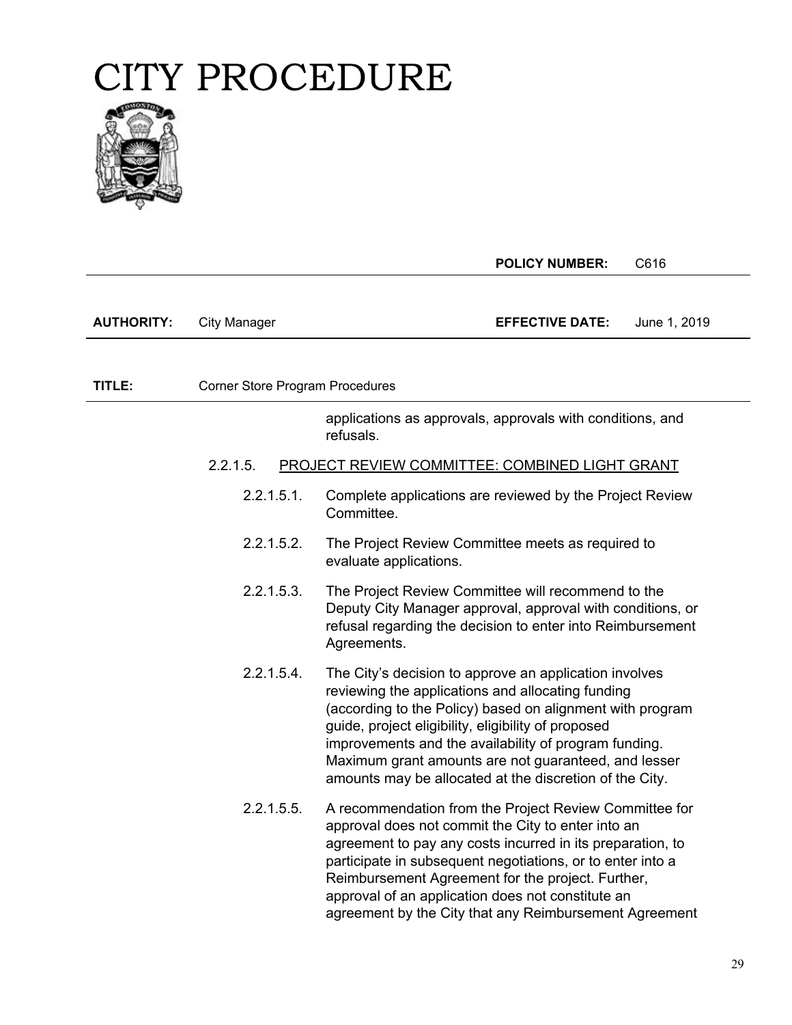

|                   |                                 | <b>POLICY NUMBER:</b><br>C616                                                                                                                                                                                                                                                                                                                                                                                |
|-------------------|---------------------------------|--------------------------------------------------------------------------------------------------------------------------------------------------------------------------------------------------------------------------------------------------------------------------------------------------------------------------------------------------------------------------------------------------------------|
| <b>AUTHORITY:</b> | <b>City Manager</b>             | <b>EFFECTIVE DATE:</b><br>June 1, 2019                                                                                                                                                                                                                                                                                                                                                                       |
| TITLE:            | Corner Store Program Procedures |                                                                                                                                                                                                                                                                                                                                                                                                              |
|                   |                                 | applications as approvals, approvals with conditions, and<br>refusals.                                                                                                                                                                                                                                                                                                                                       |
|                   | 2.2.1.5.                        | <b>PROJECT REVIEW COMMITTEE: COMBINED LIGHT GRANT</b>                                                                                                                                                                                                                                                                                                                                                        |
|                   | 2.2.1.5.1.                      | Complete applications are reviewed by the Project Review<br>Committee.                                                                                                                                                                                                                                                                                                                                       |
|                   | 2.2.1.5.2.                      | The Project Review Committee meets as required to<br>evaluate applications.                                                                                                                                                                                                                                                                                                                                  |
|                   | 2.2.1.5.3.                      | The Project Review Committee will recommend to the<br>Deputy City Manager approval, approval with conditions, or<br>refusal regarding the decision to enter into Reimbursement<br>Agreements.                                                                                                                                                                                                                |
|                   | 2.2.1.5.4.                      | The City's decision to approve an application involves<br>reviewing the applications and allocating funding<br>(according to the Policy) based on alignment with program<br>guide, project eligibility, eligibility of proposed<br>improvements and the availability of program funding.<br>Maximum grant amounts are not guaranteed, and lesser<br>amounts may be allocated at the discretion of the City.  |
|                   | 2.2.1.5.5.                      | A recommendation from the Project Review Committee for<br>approval does not commit the City to enter into an<br>agreement to pay any costs incurred in its preparation, to<br>participate in subsequent negotiations, or to enter into a<br>Reimbursement Agreement for the project. Further,<br>approval of an application does not constitute an<br>agreement by the City that any Reimbursement Agreement |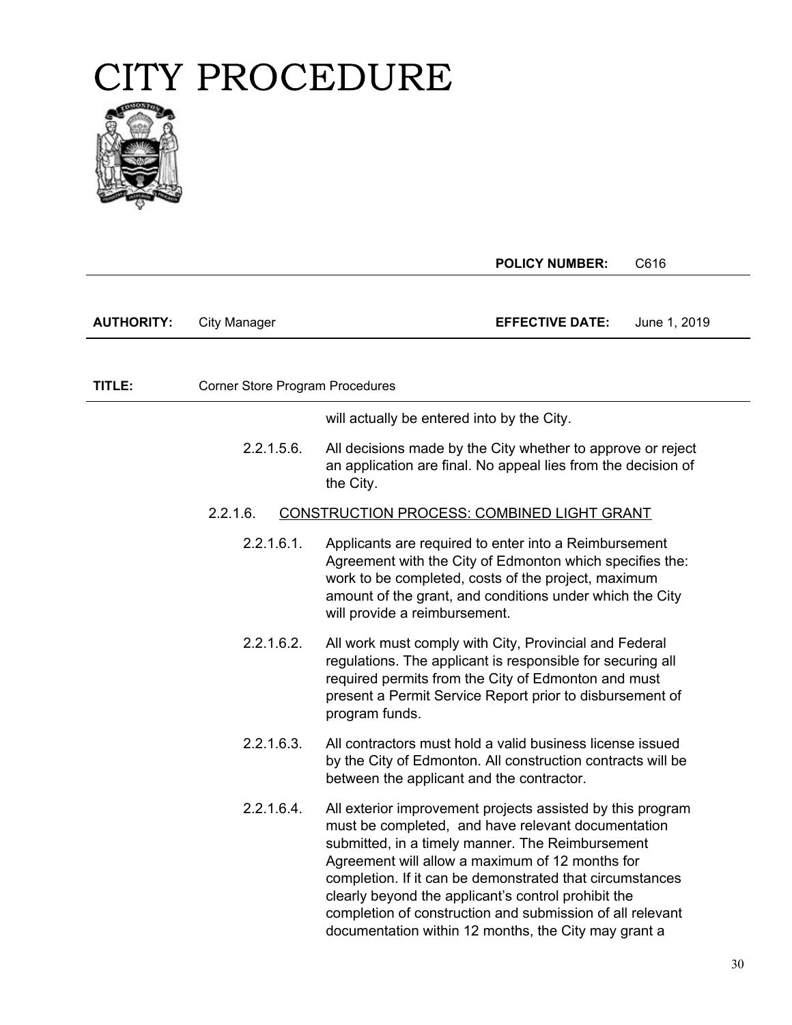

|                   |                                        | <b>POLICY NUMBER:</b><br>C616                                                                                                                                                                                                                                                                                                                                                                                                                                   |
|-------------------|----------------------------------------|-----------------------------------------------------------------------------------------------------------------------------------------------------------------------------------------------------------------------------------------------------------------------------------------------------------------------------------------------------------------------------------------------------------------------------------------------------------------|
|                   |                                        |                                                                                                                                                                                                                                                                                                                                                                                                                                                                 |
| <b>AUTHORITY:</b> | <b>City Manager</b>                    | <b>EFFECTIVE DATE:</b><br>June 1, 2019                                                                                                                                                                                                                                                                                                                                                                                                                          |
|                   |                                        |                                                                                                                                                                                                                                                                                                                                                                                                                                                                 |
| TITLE:            | <b>Corner Store Program Procedures</b> |                                                                                                                                                                                                                                                                                                                                                                                                                                                                 |
|                   |                                        | will actually be entered into by the City.                                                                                                                                                                                                                                                                                                                                                                                                                      |
|                   | 2.2.1.5.6.                             | All decisions made by the City whether to approve or reject<br>an application are final. No appeal lies from the decision of<br>the City.                                                                                                                                                                                                                                                                                                                       |
|                   | 2.2.1.6.                               | CONSTRUCTION PROCESS: COMBINED LIGHT GRANT                                                                                                                                                                                                                                                                                                                                                                                                                      |
|                   | 2.2.1.6.1.                             | Applicants are required to enter into a Reimbursement<br>Agreement with the City of Edmonton which specifies the:<br>work to be completed, costs of the project, maximum<br>amount of the grant, and conditions under which the City<br>will provide a reimbursement.                                                                                                                                                                                           |
|                   | 2.2.1.6.2.                             | All work must comply with City, Provincial and Federal<br>regulations. The applicant is responsible for securing all<br>required permits from the City of Edmonton and must<br>present a Permit Service Report prior to disbursement of<br>program funds.                                                                                                                                                                                                       |
|                   | 2.2.1.6.3.                             | All contractors must hold a valid business license issued<br>by the City of Edmonton. All construction contracts will be<br>between the applicant and the contractor.                                                                                                                                                                                                                                                                                           |
|                   | 2.2.1.6.4.                             | All exterior improvement projects assisted by this program<br>must be completed, and have relevant documentation<br>submitted, in a timely manner. The Reimbursement<br>Agreement will allow a maximum of 12 months for<br>completion. If it can be demonstrated that circumstances<br>clearly beyond the applicant's control prohibit the<br>completion of construction and submission of all relevant<br>documentation within 12 months, the City may grant a |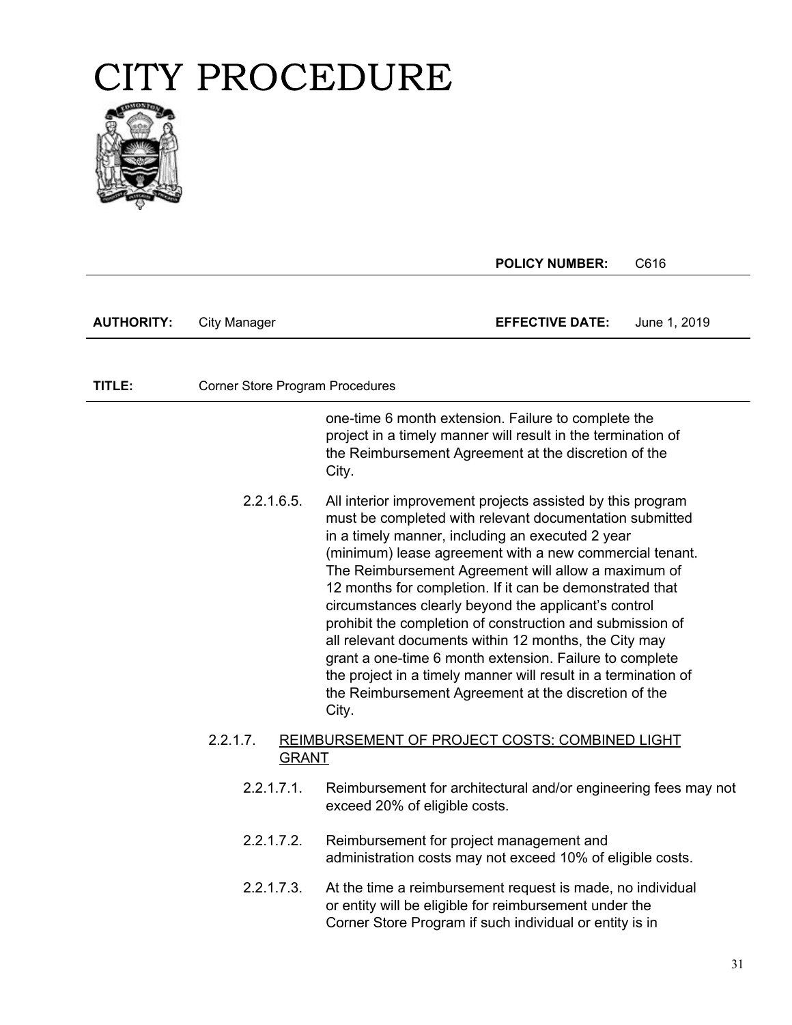

|                   |                                        | <b>POLICY NUMBER:</b>                                                                                                                                                                                                                                                                                                                                                                                                                                                                                                                                                                                                                                                                                                               | C616         |
|-------------------|----------------------------------------|-------------------------------------------------------------------------------------------------------------------------------------------------------------------------------------------------------------------------------------------------------------------------------------------------------------------------------------------------------------------------------------------------------------------------------------------------------------------------------------------------------------------------------------------------------------------------------------------------------------------------------------------------------------------------------------------------------------------------------------|--------------|
| <b>AUTHORITY:</b> | <b>City Manager</b>                    | <b>EFFECTIVE DATE:</b>                                                                                                                                                                                                                                                                                                                                                                                                                                                                                                                                                                                                                                                                                                              | June 1, 2019 |
|                   |                                        |                                                                                                                                                                                                                                                                                                                                                                                                                                                                                                                                                                                                                                                                                                                                     |              |
| TITLE:            | <b>Corner Store Program Procedures</b> |                                                                                                                                                                                                                                                                                                                                                                                                                                                                                                                                                                                                                                                                                                                                     |              |
|                   |                                        | one-time 6 month extension. Failure to complete the<br>project in a timely manner will result in the termination of<br>the Reimbursement Agreement at the discretion of the<br>City.                                                                                                                                                                                                                                                                                                                                                                                                                                                                                                                                                |              |
|                   | 2.2.1.6.5.                             | All interior improvement projects assisted by this program<br>must be completed with relevant documentation submitted<br>in a timely manner, including an executed 2 year<br>(minimum) lease agreement with a new commercial tenant.<br>The Reimbursement Agreement will allow a maximum of<br>12 months for completion. If it can be demonstrated that<br>circumstances clearly beyond the applicant's control<br>prohibit the completion of construction and submission of<br>all relevant documents within 12 months, the City may<br>grant a one-time 6 month extension. Failure to complete<br>the project in a timely manner will result in a termination of<br>the Reimbursement Agreement at the discretion of the<br>City. |              |
|                   | 2.2.1.7.<br><b>GRANT</b>               | REIMBURSEMENT OF PROJECT COSTS: COMBINED LIGHT                                                                                                                                                                                                                                                                                                                                                                                                                                                                                                                                                                                                                                                                                      |              |
|                   | $2.2.1.7.1$ .                          | Reimbursement for architectural and/or engineering fees may not<br>exceed 20% of eligible costs.                                                                                                                                                                                                                                                                                                                                                                                                                                                                                                                                                                                                                                    |              |
|                   | 2.2.1.7.2.                             | Reimbursement for project management and<br>administration costs may not exceed 10% of eligible costs.                                                                                                                                                                                                                                                                                                                                                                                                                                                                                                                                                                                                                              |              |
|                   | 2.2.1.7.3.                             | At the time a reimbursement request is made, no individual<br>or entity will be eligible for reimbursement under the<br>Corner Store Program if such individual or entity is in                                                                                                                                                                                                                                                                                                                                                                                                                                                                                                                                                     |              |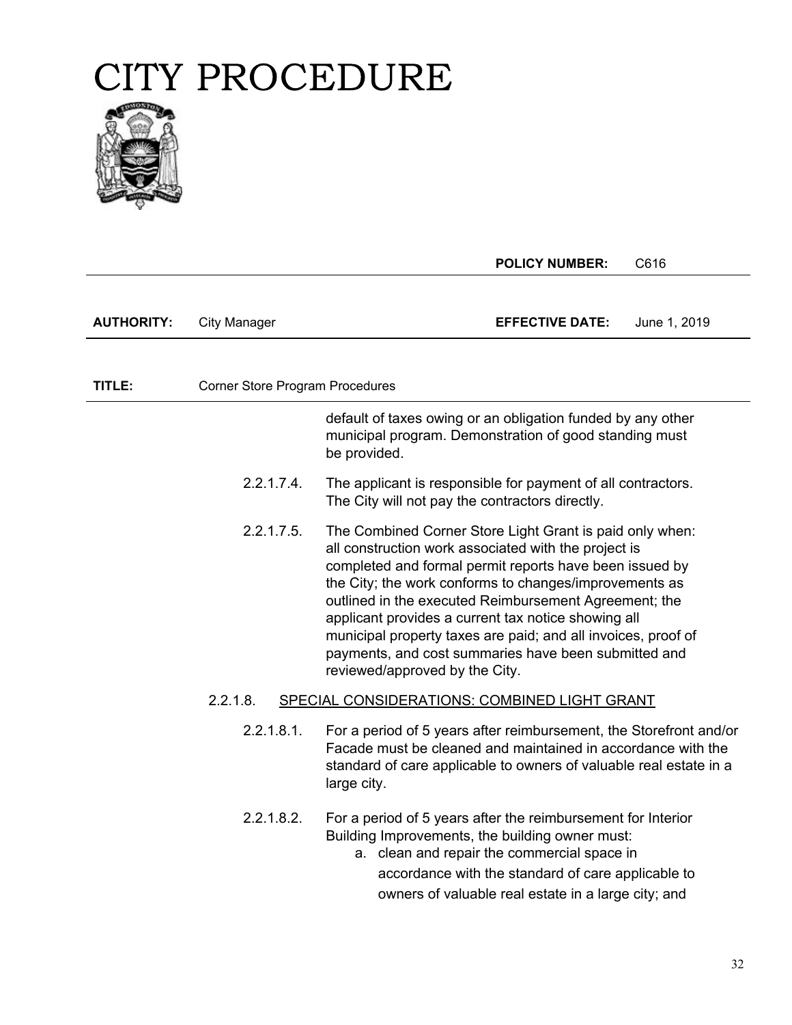

|                   |                                                          | <b>POLICY NUMBER:</b>                                                                                                                                                                                                                                                                                                                                                                                                                                                                                            | C616         |
|-------------------|----------------------------------------------------------|------------------------------------------------------------------------------------------------------------------------------------------------------------------------------------------------------------------------------------------------------------------------------------------------------------------------------------------------------------------------------------------------------------------------------------------------------------------------------------------------------------------|--------------|
| <b>AUTHORITY:</b> | <b>City Manager</b>                                      | <b>EFFECTIVE DATE:</b>                                                                                                                                                                                                                                                                                                                                                                                                                                                                                           | June 1, 2019 |
|                   |                                                          |                                                                                                                                                                                                                                                                                                                                                                                                                                                                                                                  |              |
| TITLE:            | <b>Corner Store Program Procedures</b>                   |                                                                                                                                                                                                                                                                                                                                                                                                                                                                                                                  |              |
|                   |                                                          | default of taxes owing or an obligation funded by any other<br>municipal program. Demonstration of good standing must<br>be provided.                                                                                                                                                                                                                                                                                                                                                                            |              |
|                   | 2.2.1.7.4.                                               | The applicant is responsible for payment of all contractors.<br>The City will not pay the contractors directly.                                                                                                                                                                                                                                                                                                                                                                                                  |              |
|                   | 2.2.1.7.5.                                               | The Combined Corner Store Light Grant is paid only when:<br>all construction work associated with the project is<br>completed and formal permit reports have been issued by<br>the City; the work conforms to changes/improvements as<br>outlined in the executed Reimbursement Agreement; the<br>applicant provides a current tax notice showing all<br>municipal property taxes are paid; and all invoices, proof of<br>payments, and cost summaries have been submitted and<br>reviewed/approved by the City. |              |
|                   | SPECIAL CONSIDERATIONS: COMBINED LIGHT GRANT<br>2.2.1.8. |                                                                                                                                                                                                                                                                                                                                                                                                                                                                                                                  |              |
|                   | 2.2.1.8.1.                                               | For a period of 5 years after reimbursement, the Storefront and/or<br>Facade must be cleaned and maintained in accordance with the<br>standard of care applicable to owners of valuable real estate in a<br>large city.                                                                                                                                                                                                                                                                                          |              |
|                   | 2.2.1.8.2.                                               | For a period of 5 years after the reimbursement for Interior<br>Building Improvements, the building owner must:<br>a. clean and repair the commercial space in<br>accordance with the standard of care applicable to<br>owners of valuable real estate in a large city; and                                                                                                                                                                                                                                      |              |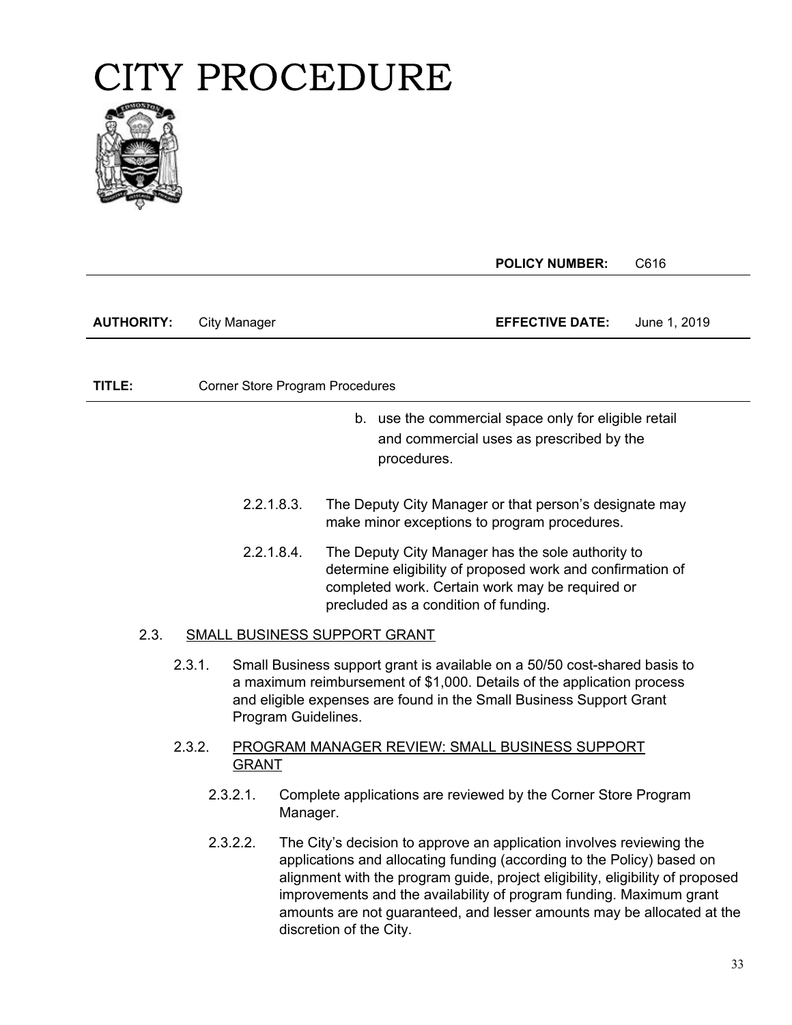

**POLICY NUMBER:** C616

**AUTHORITY:** City Manager **EFFECTIVE DATE:** June 1, 2019

**TITLE:** Corner Store Program Procedures

- b. use the commercial space only for eligible retail and commercial uses as prescribed by the procedures.
- 2.2.1.8.3. The Deputy City Manager or that person's designate may make minor exceptions to program procedures.
- 2.2.1.8.4. The Deputy City Manager has the sole authority to determine eligibility of proposed work and confirmation of completed work. Certain work may be required or precluded as a condition of funding.

#### 2.3. SMALL BUSINESS SUPPORT GRANT

- 2.3.1. Small Business support grant is available on a 50/50 cost-shared basis to a maximum reimbursement of \$1,000. Details of the application process and eligible expenses are found in the Small Business Support Grant Program Guidelines.
- 2.3.2. PROGRAM MANAGER REVIEW: SMALL BUSINESS SUPPORT GRANT
	- 2.3.2.1. Complete applications are reviewed by the Corner Store Program Manager.
	- 2.3.2.2. The City's decision to approve an application involves reviewing the applications and allocating funding (according to the Policy) based on alignment with the program guide, project eligibility, eligibility of proposed improvements and the availability of program funding. Maximum grant amounts are not guaranteed, and lesser amounts may be allocated at the discretion of the City.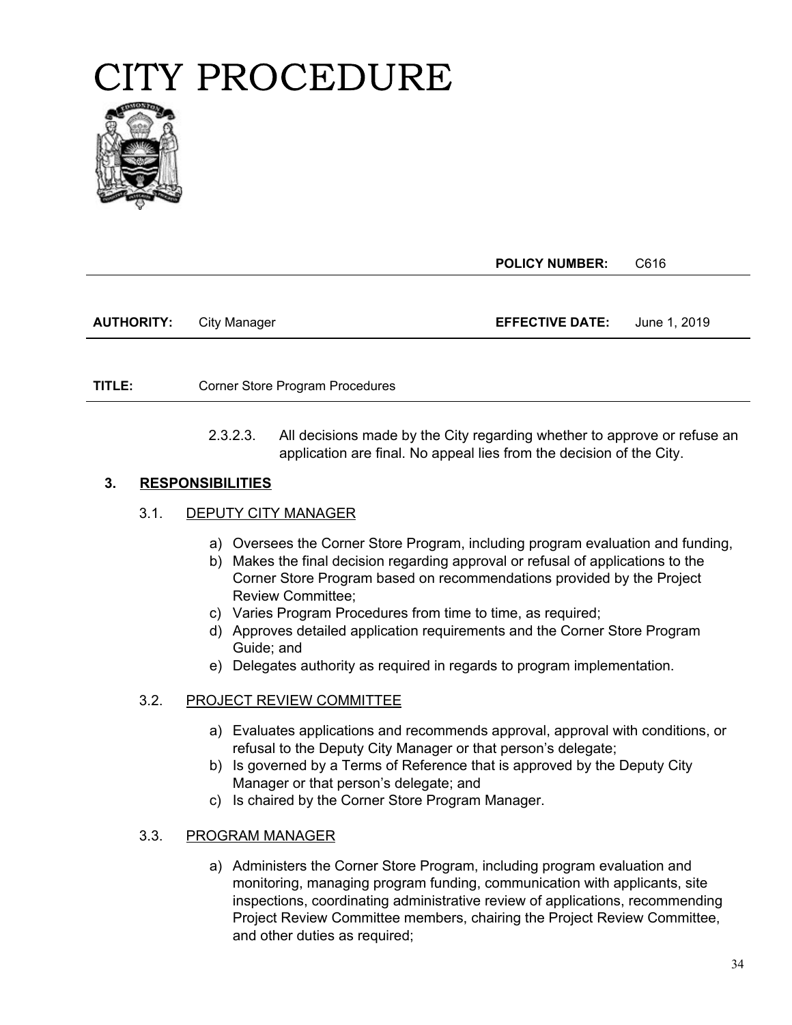

**POLICY NUMBER:** C616

**AUTHORITY:** City Manager **EFFECTIVE DATE:** June 1, 2019

**TITLE:** Corner Store Program Procedures

**PAGE:** application are final. No appeal lies from the decision of the City. 2.3.2.3. All decisions made by the City regarding whether to approve or refuse an

#### **3. RESPONSIBILITIES**

#### 3.1. DEPUTY CITY MANAGER

- a) Oversees the Corner Store Program, including program evaluation and funding,
- b) Makes the final decision regarding approval or refusal of applications to the Corner Store Program based on recommendations provided by the Project Review Committee;
- c) Varies Program Procedures from time to time, as required;
- d) Approves detailed application requirements and the Corner Store Program Guide; and
- e) Delegates authority as required in regards to program implementation.

#### 3.2. PROJECT REVIEW COMMITTEE

- a) Evaluates applications and recommends approval, approval with conditions, or refusal to the Deputy City Manager or that person's delegate;
- b) Is governed by a Terms of Reference that is approved by the Deputy City Manager or that person's delegate; and
- c) Is chaired by the Corner Store Program Manager.

#### 3.3. PROGRAM MANAGER

a) Administers the Corner Store Program, including program evaluation and monitoring, managing program funding, communication with applicants, site inspections, coordinating administrative review of applications, recommending Project Review Committee members, chairing the Project Review Committee, and other duties as required;